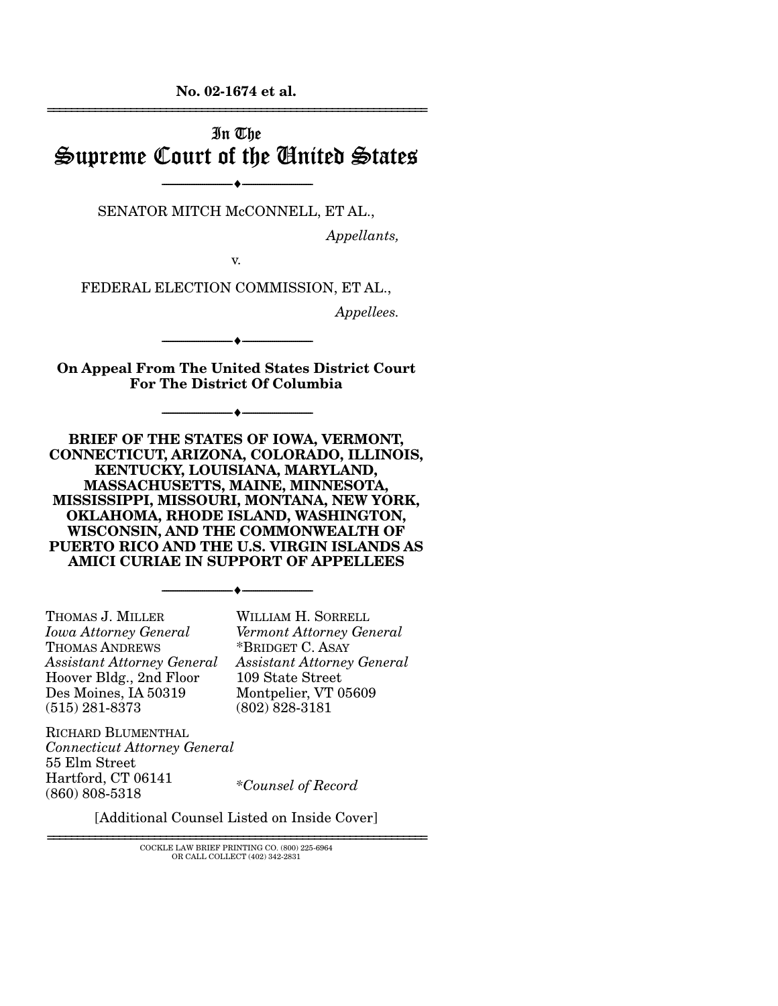**No. 02-1674 et al.**  ================================================================

# In The Supreme Court of the United States

SENATOR MITCH McCONNELL, ET AL.,

----------------------------- ------------------------------

----♦-- -

----♦-- -

----♦-- -

*Appellants,* 

v.

FEDERAL ELECTION COMMISSION, ET AL.,

*Appellees.* 

**On Appeal From The United States District Court For The District Of Columbia** 

----------------------------- ------------------------------

----------------------------- ------------------------------

**BRIEF OF THE STATES OF IOWA, VERMONT, CONNECTICUT, ARIZONA, COLORADO, ILLINOIS, KENTUCKY, LOUISIANA, MARYLAND, MASSACHUSETTS, MAINE, MINNESOTA, MISSISSIPPI, MISSOURI, MONTANA, NEW YORK, OKLAHOMA, RHODE ISLAND, WASHINGTON, WISCONSIN, AND THE COMMONWEALTH OF PUERTO RICO AND THE U.S. VIRGIN ISLANDS AS AMICI CURIAE IN SUPPORT OF APPELLEES** 

----------------------------- ------------------------------

----♦-- -

THOMAS J. MILLER *Iowa Attorney General*  THOMAS ANDREWS *Assistant Attorney General*  Hoover Bldg., 2nd Floor Des Moines, IA 50319 (515) 281-8373

WILLIAM H. SORRELL *Vermont Attorney General*  \*BRIDGET C. ASAY *Assistant Attorney General*  109 State Street Montpelier, VT 05609 (802) 828-3181

RICHARD BLUMENTHAL *Connecticut Attorney General*  55 Elm Street Hartford, CT 06141 (860) 808-5318 *\*Counsel of Record* 

[Additional Counsel Listed on Inside Cover]

================================================================ COCKLE LAW BRIEF PRINTING CO. (800) 225-6964 OR CALL COLLECT (402) 342-2831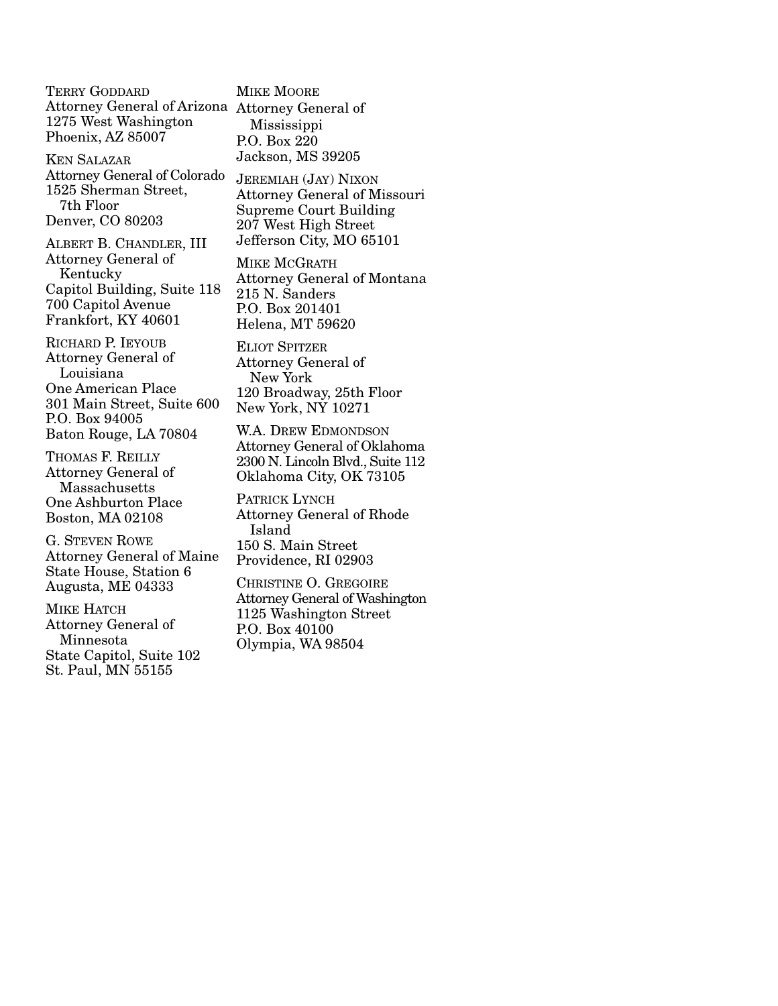TERRY GODDARD Attorney General of Arizona Attorney General of 1275 West Washington Phoenix, AZ 85007

KEN SALAZAR Attorney General of Colorado 1525 Sherman Street, 7th Floor Denver, CO 80203

ALBERT B. CHANDLER, III Attorney General of Kentucky Capitol Building, Suite 118 700 Capitol Avenue Frankfort, KY 40601

RICHARD P. IEYOUB Attorney General of Louisiana One American Place 301 Main Street, Suite 600 P.O. Box 94005 Baton Rouge, LA 70804

THOMAS F. REILLY Attorney General of Massachusetts One Ashburton Place Boston, MA 02108

G. STEVEN ROWE Attorney General of Maine State House, Station 6 Augusta, ME 04333

MIKE HATCH Attorney General of Minnesota State Capitol, Suite 102 St. Paul, MN 55155

MIKE MOORE Mississippi P.O. Box 220 Jackson, MS 39205

JEREMIAH (JAY) NIXON Attorney General of Missouri Supreme Court Building 207 West High Street Jefferson City, MO 65101

MIKE MCGRATH Attorney General of Montana 215 N. Sanders P.O. Box 201401 Helena, MT 59620

ELIOT SPITZER Attorney General of New York 120 Broadway, 25th Floor New York, NY 10271

W.A. DREW EDMONDSON Attorney General of Oklahoma 2300 N. Lincoln Blvd., Suite 112 Oklahoma City, OK 73105

PATRICK LYNCH Attorney General of Rhode Island 150 S. Main Street Providence, RI 02903

CHRISTINE O. GREGOIRE Attorney General of Washington 1125 Washington Street P.O. Box 40100 Olympia, WA 98504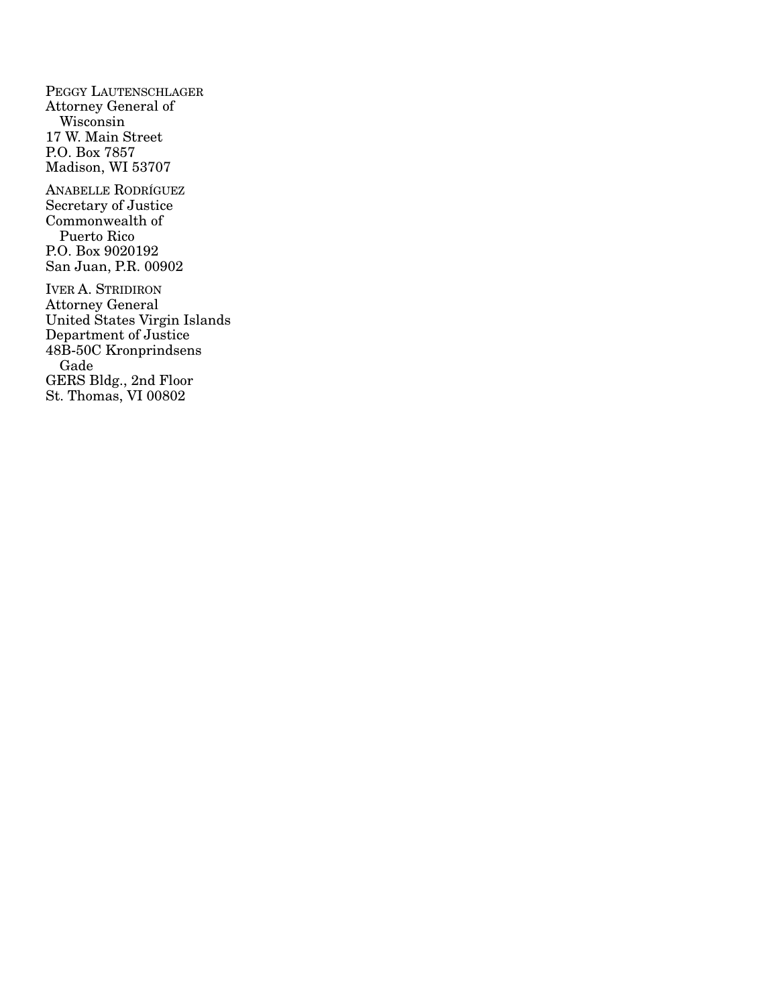PEGGY LAUTENSCHLAGER Attorney General of Wisconsin 17 W. Main Street P.O. Box 7857 Madison, WI 53707 ANABELLE RODRÍGUEZ Secretary of Justice Commonwealth of Puerto Rico P.O. Box 9020192 San Juan, P.R. 00902 IVER A. STRIDIRON Attorney General United States Virgin Islands Department of Justice 48B-50C Kronprindsens Gade GERS Bldg., 2nd Floor

St. Thomas, VI 00802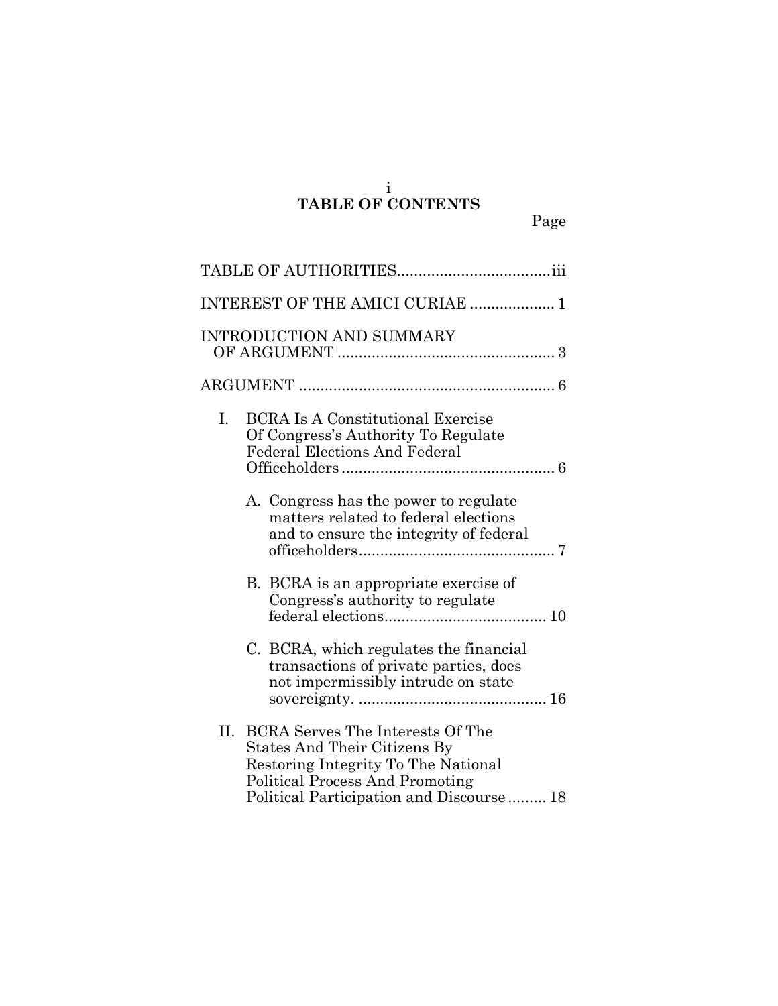#### i **TABLE OF CONTENTS**

| INTEREST OF THE AMICI CURIAE  1                                                                                                                                                                            |
|------------------------------------------------------------------------------------------------------------------------------------------------------------------------------------------------------------|
| <b>INTRODUCTION AND SUMMARY</b>                                                                                                                                                                            |
|                                                                                                                                                                                                            |
| I.<br><b>BCRA Is A Constitutional Exercise</b><br>Of Congress's Authority To Regulate<br><b>Federal Elections And Federal</b>                                                                              |
| A. Congress has the power to regulate<br>matters related to federal elections<br>and to ensure the integrity of federal                                                                                    |
| B. BCRA is an appropriate exercise of<br>Congress's authority to regulate                                                                                                                                  |
| C. BCRA, which regulates the financial<br>transactions of private parties, does<br>not impermissibly intrude on state                                                                                      |
| <b>BCRA Serves The Interests Of The</b><br>Н.<br>States And Their Citizens By<br>Restoring Integrity To The National<br><b>Political Process And Promoting</b><br>Political Participation and Discourse 18 |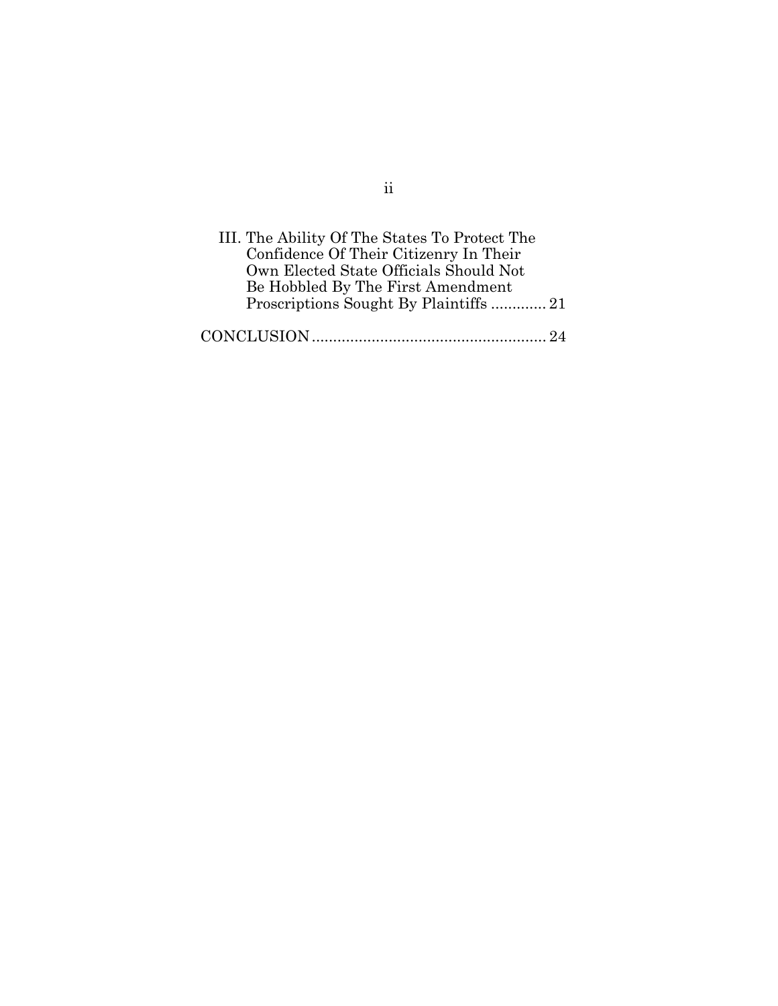| III. The Ability Of The States To Protect The |  |
|-----------------------------------------------|--|
| Confidence Of Their Citizenry In Their        |  |
| Own Elected State Officials Should Not        |  |
| Be Hobbled By The First Amendment             |  |
| Proscriptions Sought By Plaintiffs21          |  |
|                                               |  |
|                                               |  |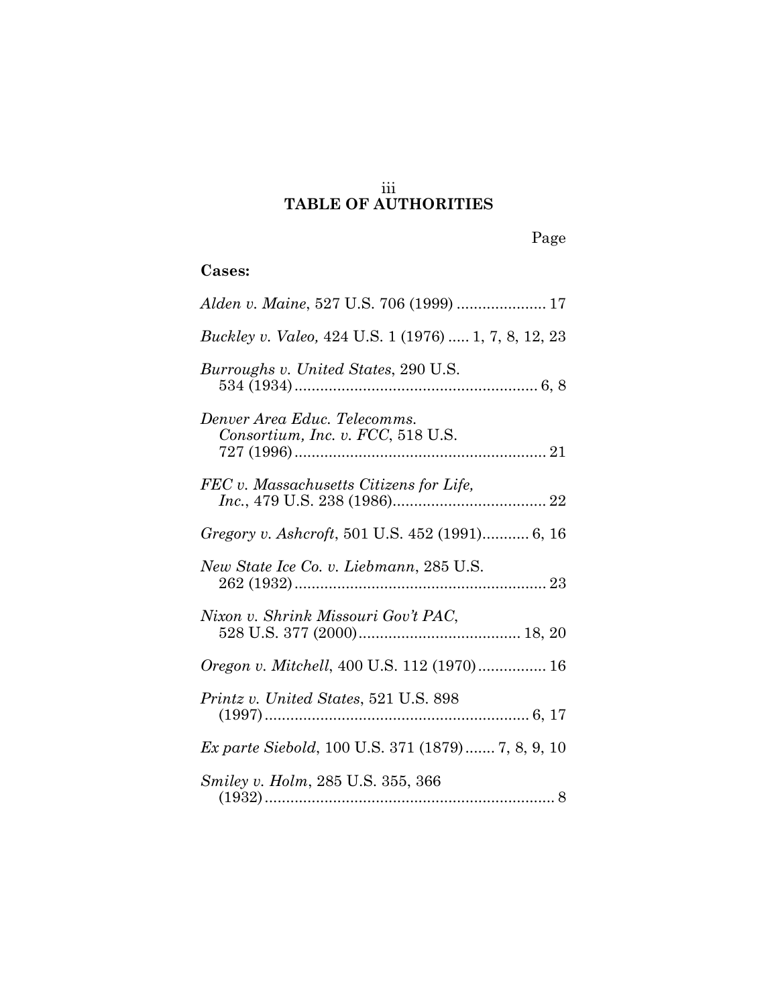## iii **TABLE OF AUTHORITIES**

# **Cases:**

| <i>Buckley v. Valeo, 424 U.S. 1 (1976)  1, 7, 8, 12, 23</i>       |
|-------------------------------------------------------------------|
| Burroughs v. United States, 290 U.S.                              |
| Denver Area Educ. Telecomms.<br>Consortium, Inc. v. FCC, 518 U.S. |
| FEC v. Massachusetts Citizens for Life,                           |
| Gregory v. Ashcroft, 501 U.S. 452 (1991) 6, 16                    |
| New State Ice Co. v. Liebmann, 285 U.S.                           |
| Nixon v. Shrink Missouri Gov't PAC,                               |
| <i>Oregon v. Mitchell</i> , 400 U.S. 112 (1970) 16                |
| Printz v. United States, 521 U.S. 898                             |
| <i>Ex parte Siebold</i> , 100 U.S. 371 (1879) 7, 8, 9, 10         |
| <i>Smiley v. Holm, 285 U.S. 355, 366</i>                          |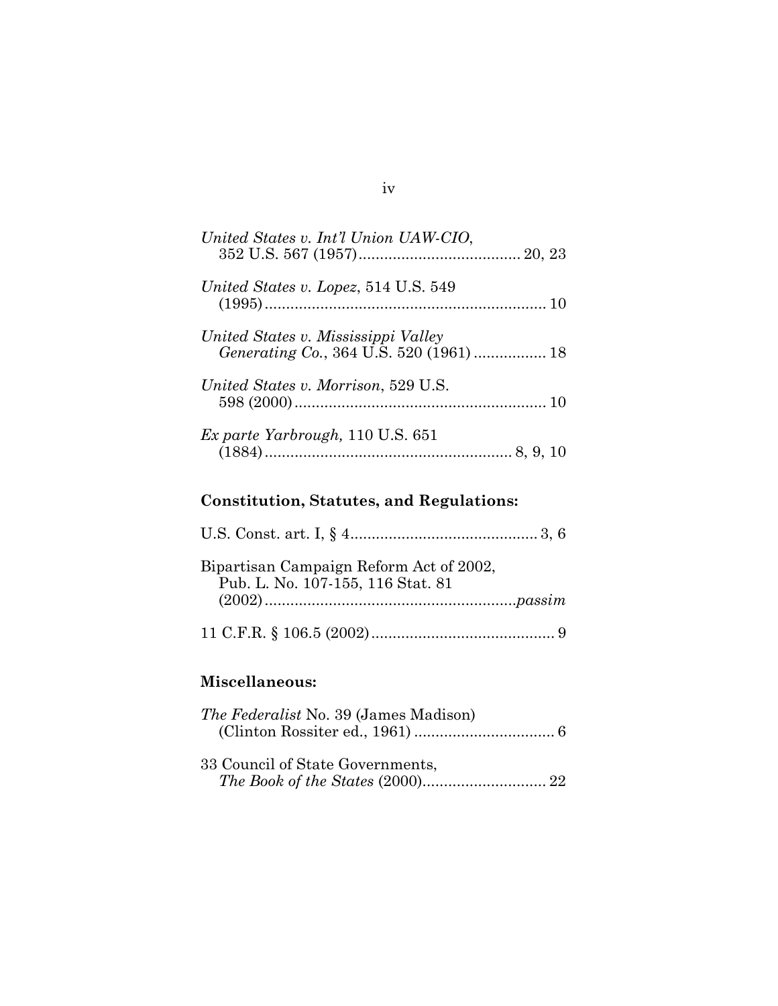| United States v. Int'l Union UAW-CIO,    |
|------------------------------------------|
| United States v. Lopez, 514 U.S. 549     |
| United States v. Mississippi Valley      |
| United States v. Morrison, 529 U.S.      |
| <i>Ex parte Yarbrough</i> , 110 U.S. 651 |

# **Constitution, Statutes, and Regulations:**

| Bipartisan Campaign Reform Act of 2002,<br>Pub. L. No. 107-155, 116 Stat. 81 |
|------------------------------------------------------------------------------|
|                                                                              |

# **Miscellaneous:**

| <i>The Federalist</i> No. 39 (James Madison) |  |
|----------------------------------------------|--|
|                                              |  |
|                                              |  |
| 33 Council of State Governments,             |  |
|                                              |  |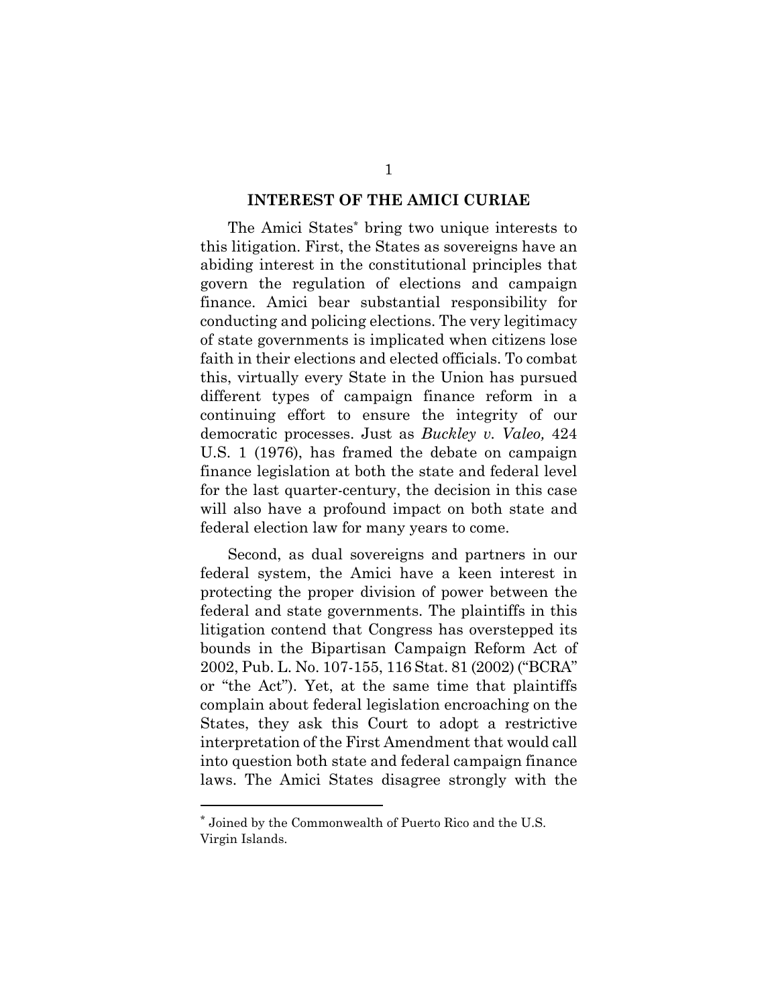#### **INTEREST OF THE AMICI CURIAE**

The Amici State[s\\*](#page-7-0) bring two unique interests to this litigation. First, the States as sovereigns have an abiding interest in the constitutional principles that govern the regulation of elections and campaign finance. Amici bear substantial responsibility for conducting and policing elections. The very legitimacy of state governments is implicated when citizens lose faith in their elections and elected officials. To combat this, virtually every State in the Union has pursued different types of campaign finance reform in a continuing effort to ensure the integrity of our democratic processes. Just as *Buckley v. Valeo,* 424 U.S. 1 (1976), has framed the debate on campaign finance legislation at both the state and federal level for the last quarter-century, the decision in this case will also have a profound impact on both state and federal election law for many years to come.

Second, as dual sovereigns and partners in our federal system, the Amici have a keen interest in protecting the proper division of power between the federal and state governments. The plaintiffs in this litigation contend that Congress has overstepped its bounds in the Bipartisan Campaign Reform Act of 2002, Pub. L. No. 107-155, 116 Stat. 81 (2002) ("BCRA" or "the Act"). Yet, at the same time that plaintiffs complain about federal legislation encroaching on the States, they ask this Court to adopt a restrictive interpretation of the First Amendment that would call into question both state and federal campaign finance laws. The Amici States disagree strongly with the

<span id="page-7-0"></span><sup>\*</sup> Joined by the Commonwealth of Puerto Rico and the U.S. Virgin Islands.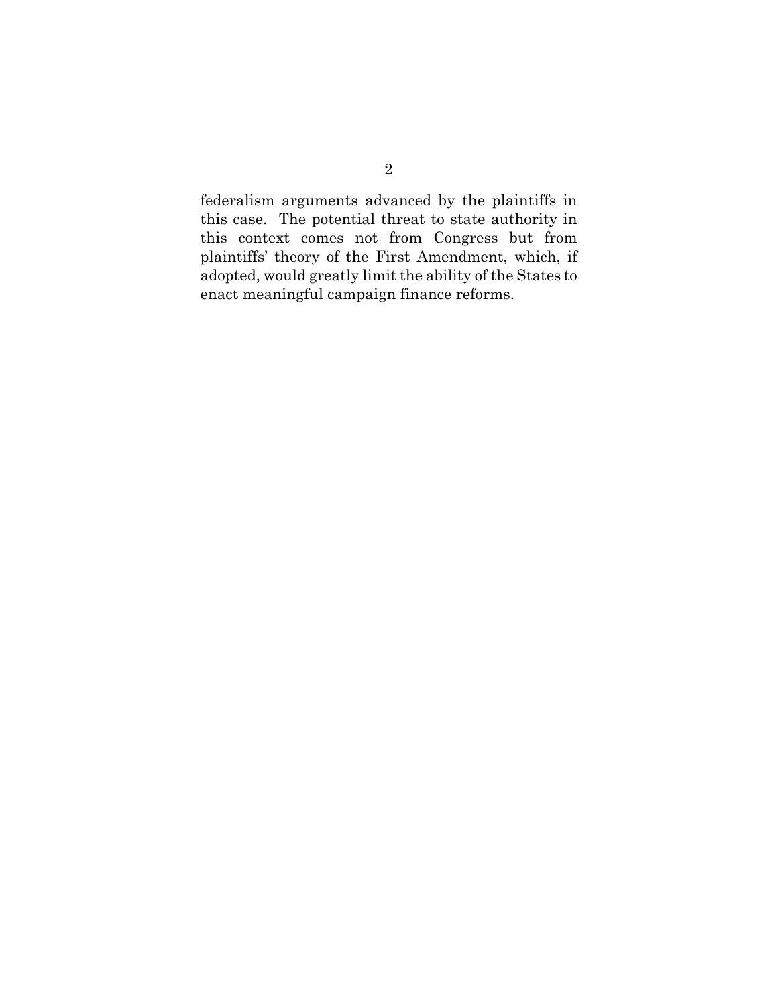federalism arguments advanced by the plaintiffs in this case. The potential threat to state authority in this context comes not from Congress but from plaintiffs' theory of the First Amendment, which, if adopted, would greatly limit the ability of the States to enact meaningful campaign finance reforms.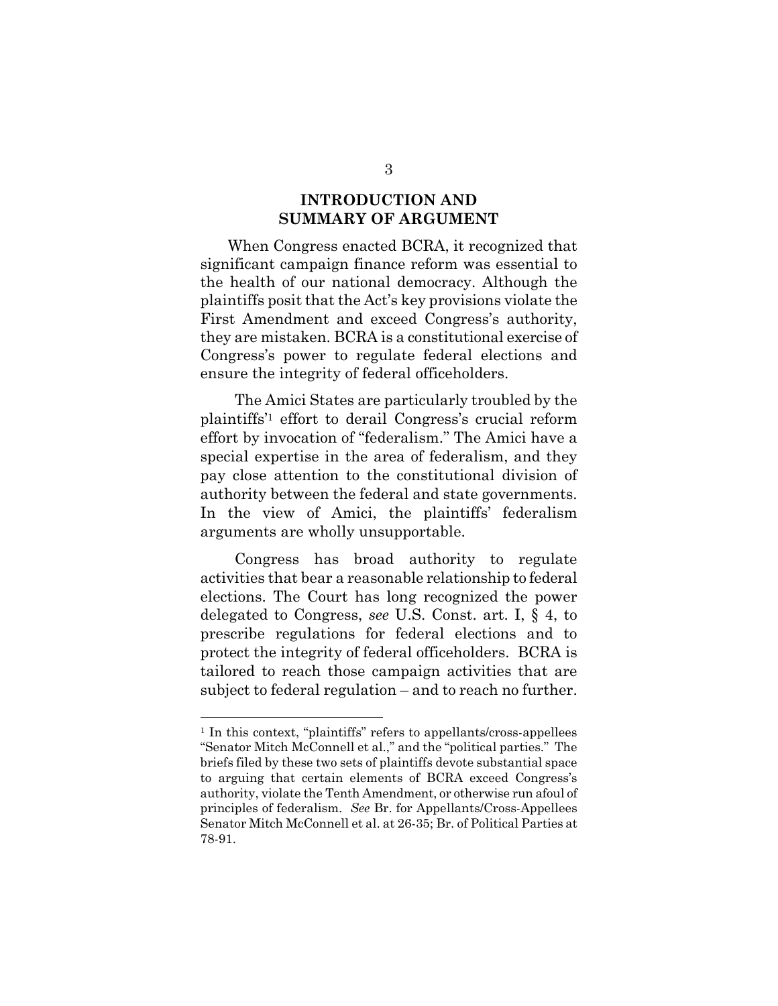## **INTRODUCTION AND SUMMARY OF ARGUMENT**

When Congress enacted BCRA, it recognized that significant campaign finance reform was essential to the health of our national democracy. Although the plaintiffs posit that the Act's key provisions violate the First Amendment and exceed Congress's authority, they are mistaken. BCRA is a constitutional exercise of Congress's power to regulate federal elections and ensure the integrity of federal officeholders.

The Amici States are particularly troubled by the plaintiffs'[1](#page-9-0) effort to derail Congress's crucial reform effort by invocation of "federalism." The Amici have a special expertise in the area of federalism, and they pay close attention to the constitutional division of authority between the federal and state governments. In the view of Amici, the plaintiffs' federalism arguments are wholly unsupportable.

Congress has broad authority to regulate activities that bear a reasonable relationship to federal elections. The Court has long recognized the power delegated to Congress, *see* U.S. Const. art. I, § 4, to prescribe regulations for federal elections and to protect the integrity of federal officeholders. BCRA is tailored to reach those campaign activities that are subject to federal regulation – and to reach no further.

<span id="page-9-0"></span><sup>&</sup>lt;sup>1</sup> In this context, "plaintiffs" refers to appellants/cross-appellees "Senator Mitch McConnell et al.," and the "political parties." The briefs filed by these two sets of plaintiffs devote substantial space to arguing that certain elements of BCRA exceed Congress's authority, violate the Tenth Amendment, or otherwise run afoul of principles of federalism. *See* Br. for Appellants/Cross-Appellees Senator Mitch McConnell et al. at 26-35; Br. of Political Parties at 78-91.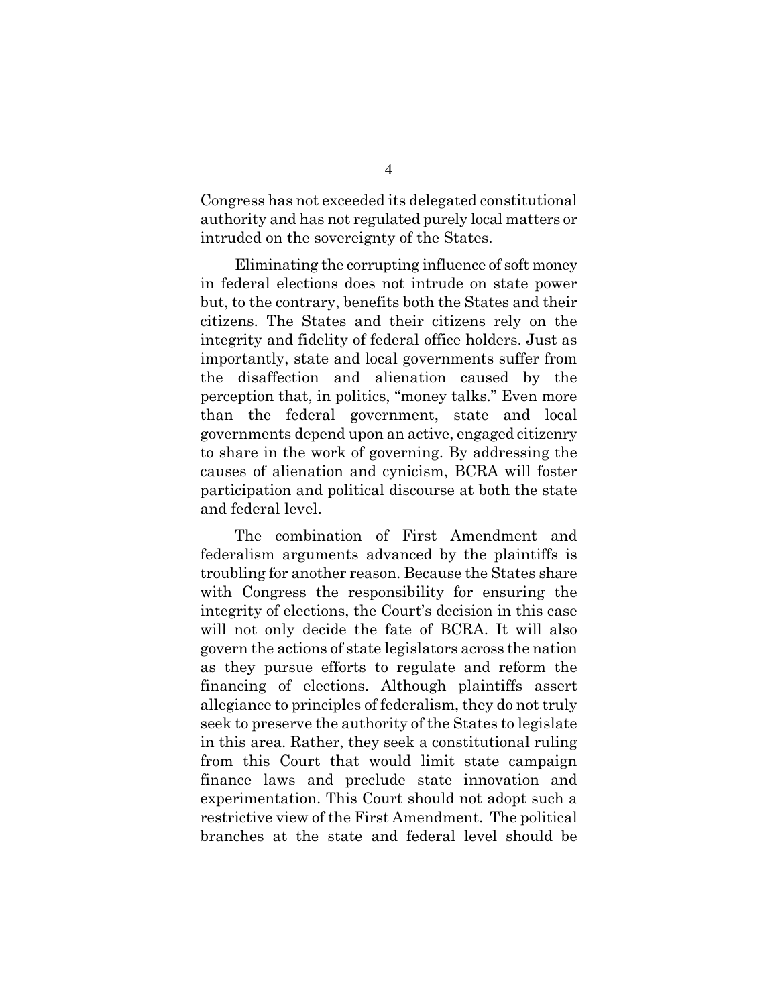Congress has not exceeded its delegated constitutional authority and has not regulated purely local matters or intruded on the sovereignty of the States.

Eliminating the corrupting influence of soft money in federal elections does not intrude on state power but, to the contrary, benefits both the States and their citizens. The States and their citizens rely on the integrity and fidelity of federal office holders. Just as importantly, state and local governments suffer from the disaffection and alienation caused by the perception that, in politics, "money talks." Even more than the federal government, state and local governments depend upon an active, engaged citizenry to share in the work of governing. By addressing the causes of alienation and cynicism, BCRA will foster participation and political discourse at both the state and federal level.

The combination of First Amendment and federalism arguments advanced by the plaintiffs is troubling for another reason. Because the States share with Congress the responsibility for ensuring the integrity of elections, the Court's decision in this case will not only decide the fate of BCRA. It will also govern the actions of state legislators across the nation as they pursue efforts to regulate and reform the financing of elections. Although plaintiffs assert allegiance to principles of federalism, they do not truly seek to preserve the authority of the States to legislate in this area. Rather, they seek a constitutional ruling from this Court that would limit state campaign finance laws and preclude state innovation and experimentation. This Court should not adopt such a restrictive view of the First Amendment. The political branches at the state and federal level should be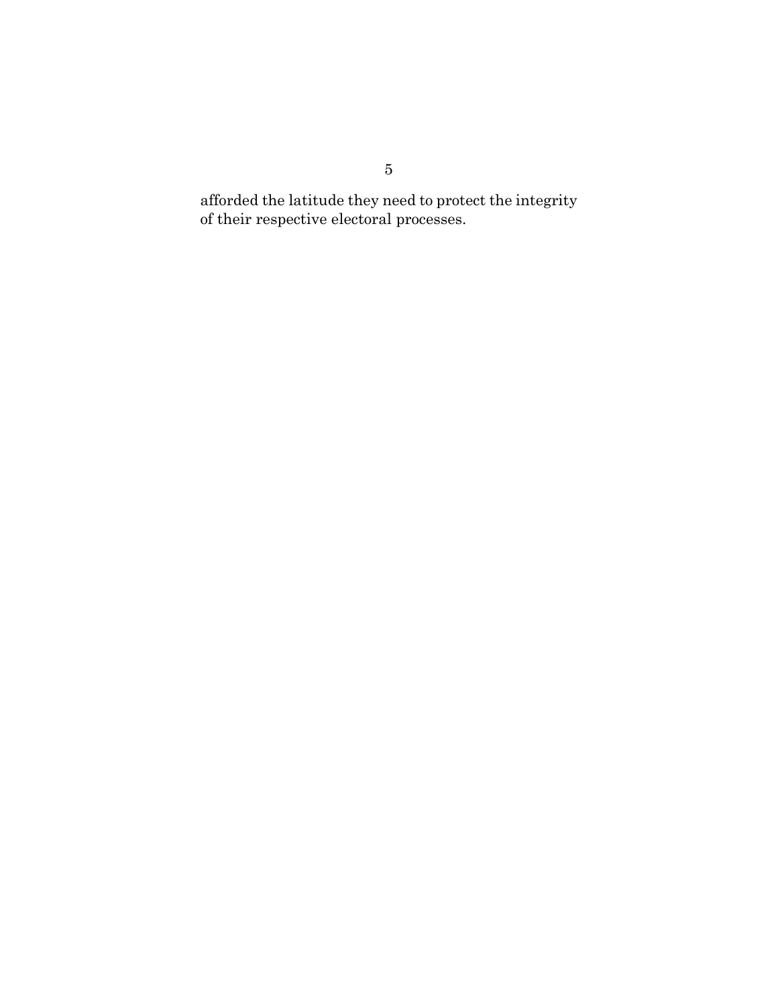afforded the latitude they need to protect the integrity of their respective electoral processes.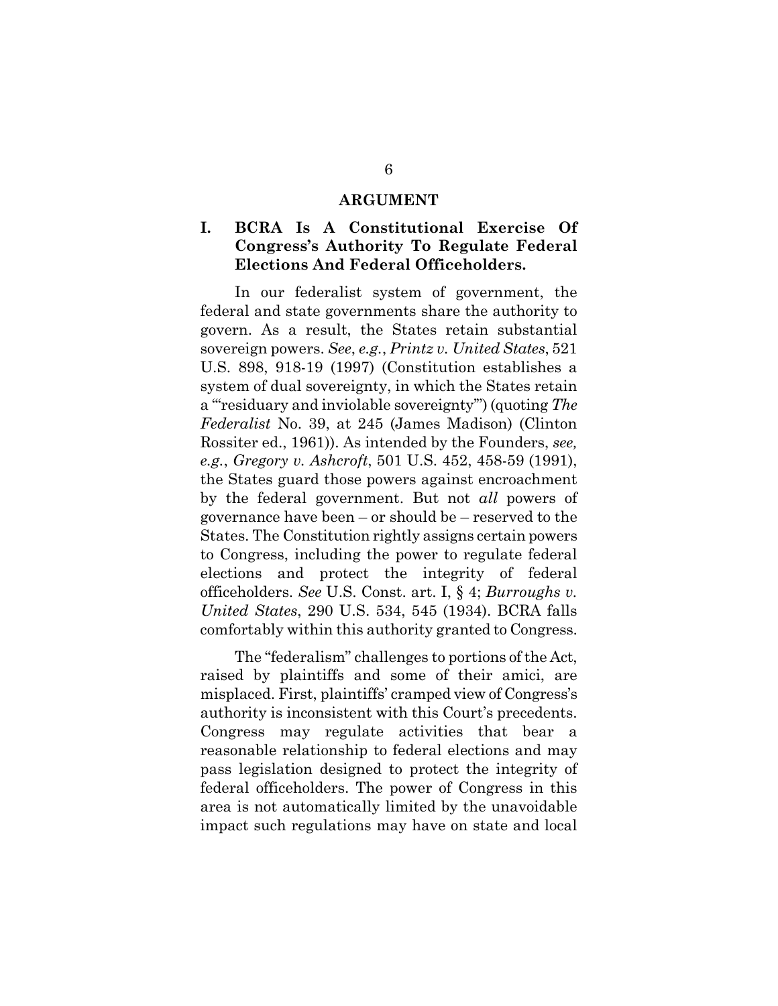#### **ARGUMENT**

## **I. BCRA Is A Constitutional Exercise Of Congress's Authority To Regulate Federal Elections And Federal Officeholders.**

In our federalist system of government, the federal and state governments share the authority to govern. As a result, the States retain substantial sovereign powers. *See*, *e.g.*, *Printz v. United States*, 521 U.S. 898, 918-19 (1997) (Constitution establishes a system of dual sovereignty, in which the States retain a "'residuary and inviolable sovereignty'") (quoting *The Federalist* No. 39, at 245 (James Madison) (Clinton Rossiter ed., 1961)). As intended by the Founders, *see, e.g.*, *Gregory v. Ashcroft*, 501 U.S. 452, 458-59 (1991), the States guard those powers against encroachment by the federal government. But not *all* powers of governance have been – or should be – reserved to the States. The Constitution rightly assigns certain powers to Congress, including the power to regulate federal elections and protect the integrity of federal officeholders. *See* U.S. Const. art. I, § 4; *Burroughs v. United States*, 290 U.S. 534, 545 (1934). BCRA falls comfortably within this authority granted to Congress.

The "federalism" challenges to portions of the Act, raised by plaintiffs and some of their amici, are misplaced. First, plaintiffs' cramped view of Congress's authority is inconsistent with this Court's precedents. Congress may regulate activities that bear a reasonable relationship to federal elections and may pass legislation designed to protect the integrity of federal officeholders. The power of Congress in this area is not automatically limited by the unavoidable impact such regulations may have on state and local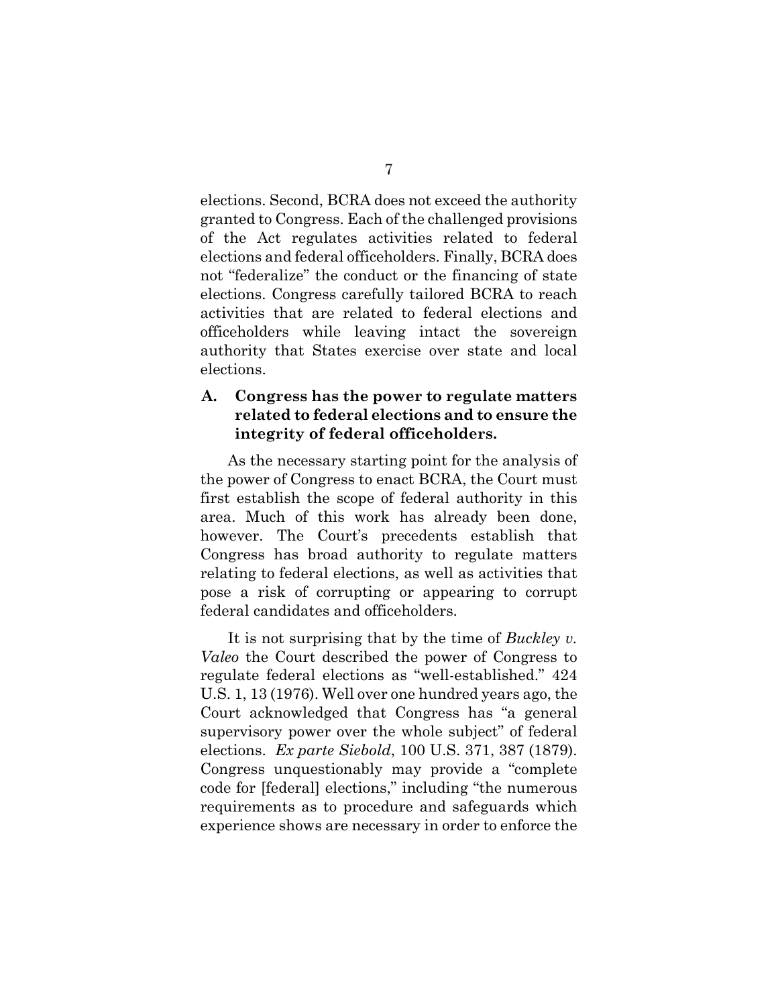elections. Second, BCRA does not exceed the authority granted to Congress. Each of the challenged provisions of the Act regulates activities related to federal elections and federal officeholders. Finally, BCRA does not "federalize" the conduct or the financing of state elections. Congress carefully tailored BCRA to reach activities that are related to federal elections and officeholders while leaving intact the sovereign authority that States exercise over state and local elections.

## **A. Congress has the power to regulate matters related to federal elections and to ensure the integrity of federal officeholders.**

As the necessary starting point for the analysis of the power of Congress to enact BCRA, the Court must first establish the scope of federal authority in this area. Much of this work has already been done, however. The Court's precedents establish that Congress has broad authority to regulate matters relating to federal elections, as well as activities that pose a risk of corrupting or appearing to corrupt federal candidates and officeholders.

It is not surprising that by the time of *Buckley v. Valeo* the Court described the power of Congress to regulate federal elections as "well-established." 424 U.S. 1, 13 (1976). Well over one hundred years ago, the Court acknowledged that Congress has "a general supervisory power over the whole subject" of federal elections. *Ex parte Siebold*, 100 U.S. 371, 387 (1879). Congress unquestionably may provide a "complete code for [federal] elections," including "the numerous requirements as to procedure and safeguards which experience shows are necessary in order to enforce the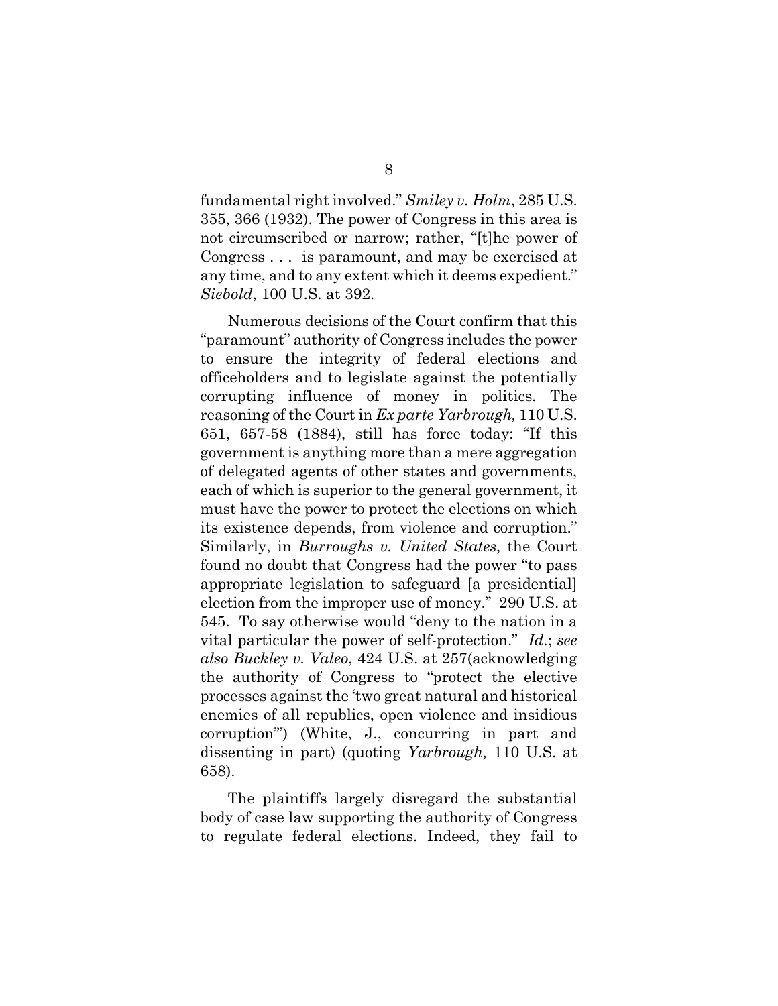fundamental right involved." *Smiley v. Holm*, 285 U.S. 355, 366 (1932). The power of Congress in this area is not circumscribed or narrow; rather, "[t]he power of Congress . . . is paramount, and may be exercised at any time, and to any extent which it deems expedient." *Siebold*, 100 U.S. at 392.

Numerous decisions of the Court confirm that this "paramount" authority of Congress includes the power to ensure the integrity of federal elections and officeholders and to legislate against the potentially corrupting influence of money in politics. The reasoning of the Court in *Ex parte Yarbrough,* 110 U.S. 651, 657-58 (1884), still has force today: "If this government is anything more than a mere aggregation of delegated agents of other states and governments, each of which is superior to the general government, it must have the power to protect the elections on which its existence depends, from violence and corruption." Similarly, in *Burroughs v. United States*, the Court found no doubt that Congress had the power "to pass appropriate legislation to safeguard [a presidential] election from the improper use of money." 290 U.S. at 545. To say otherwise would "deny to the nation in a vital particular the power of self-protection." *Id*.; *see also Buckley v. Valeo*, 424 U.S. at 257(acknowledging the authority of Congress to "protect the elective processes against the 'two great natural and historical enemies of all republics, open violence and insidious corruption'") (White, J., concurring in part and dissenting in part) (quoting *Yarbrough,* 110 U.S. at 658).

The plaintiffs largely disregard the substantial body of case law supporting the authority of Congress to regulate federal elections. Indeed, they fail to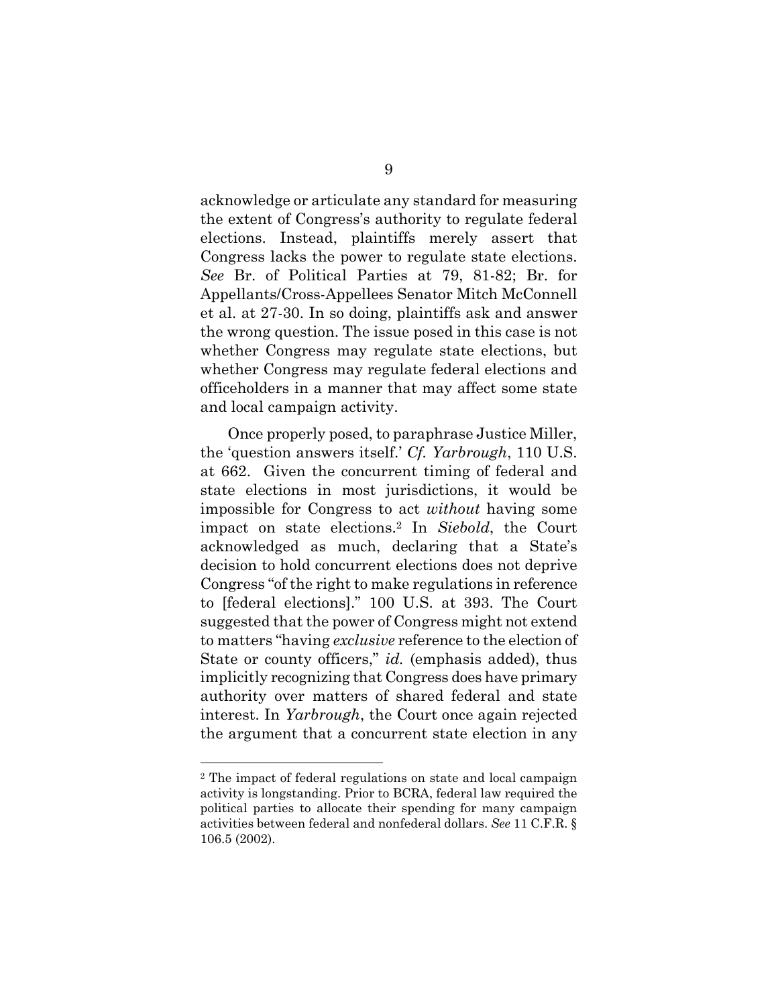acknowledge or articulate any standard for measuring the extent of Congress's authority to regulate federal elections. Instead, plaintiffs merely assert that Congress lacks the power to regulate state elections. *See* Br. of Political Parties at 79, 81-82; Br. for Appellants/Cross-Appellees Senator Mitch McConnell et al. at 27-30. In so doing, plaintiffs ask and answer the wrong question. The issue posed in this case is not whether Congress may regulate state elections, but whether Congress may regulate federal elections and officeholders in a manner that may affect some state and local campaign activity.

Once properly posed, to paraphrase Justice Miller, the 'question answers itself.' *Cf. Yarbrough*, 110 U.S. at 662. Given the concurrent timing of federal and state elections in most jurisdictions, it would be impossible for Congress to act *without* having some impact on state elections[.2](#page-15-0) In *Siebold*, the Court acknowledged as much, declaring that a State's decision to hold concurrent elections does not deprive Congress "of the right to make regulations in reference to [federal elections]." 100 U.S. at 393. The Court suggested that the power of Congress might not extend to matters "having *exclusive* reference to the election of State or county officers," *id.* (emphasis added), thus implicitly recognizing that Congress does have primary authority over matters of shared federal and state interest. In *Yarbrough*, the Court once again rejected the argument that a concurrent state election in any

<span id="page-15-0"></span><sup>2</sup> The impact of federal regulations on state and local campaign activity is longstanding. Prior to BCRA, federal law required the political parties to allocate their spending for many campaign activities between federal and nonfederal dollars. *See* 11 C.F.R. § 106.5 (2002).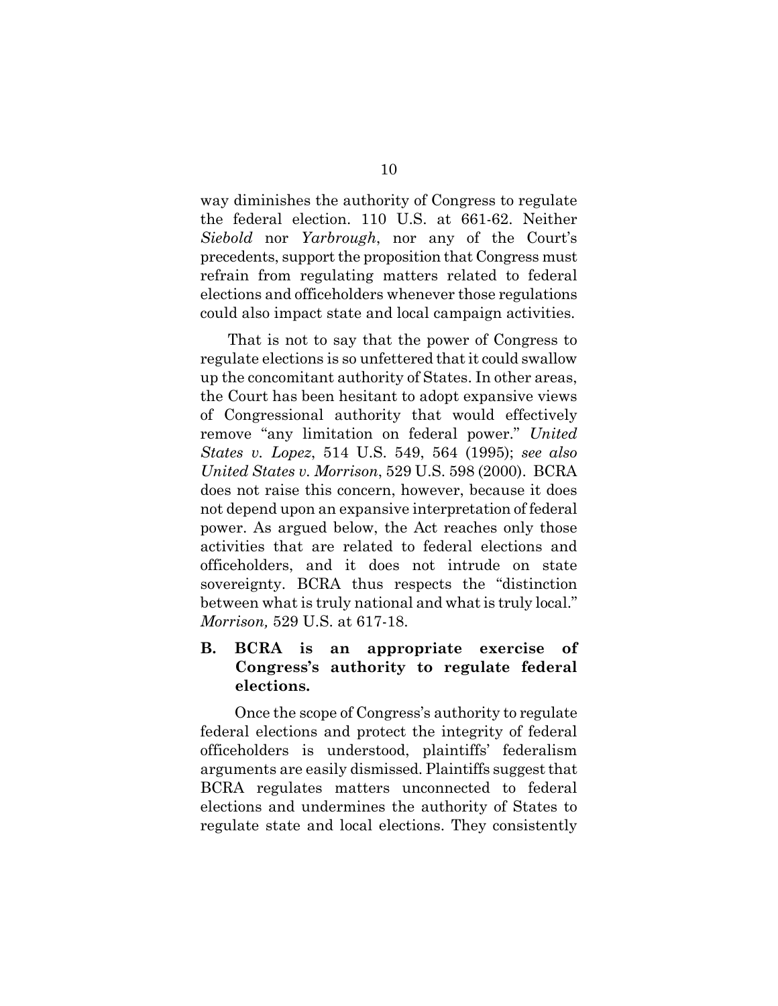way diminishes the authority of Congress to regulate the federal election. 110 U.S. at 661-62. Neither *Siebold* nor *Yarbrough*, nor any of the Court's precedents, support the proposition that Congress must refrain from regulating matters related to federal elections and officeholders whenever those regulations could also impact state and local campaign activities.

That is not to say that the power of Congress to regulate elections is so unfettered that it could swallow up the concomitant authority of States. In other areas, the Court has been hesitant to adopt expansive views of Congressional authority that would effectively remove "any limitation on federal power." *United States v. Lopez*, 514 U.S. 549, 564 (1995); *see also United States v. Morrison*, 529 U.S. 598 (2000). BCRA does not raise this concern, however, because it does not depend upon an expansive interpretation of federal power. As argued below, the Act reaches only those activities that are related to federal elections and officeholders, and it does not intrude on state sovereignty. BCRA thus respects the "distinction between what is truly national and what is truly local." *Morrison,* 529 U.S. at 617-18.

### **B. BCRA is an appropriate exercise of Congress's authority to regulate federal elections.**

Once the scope of Congress's authority to regulate federal elections and protect the integrity of federal officeholders is understood, plaintiffs' federalism arguments are easily dismissed. Plaintiffs suggest that BCRA regulates matters unconnected to federal elections and undermines the authority of States to regulate state and local elections. They consistently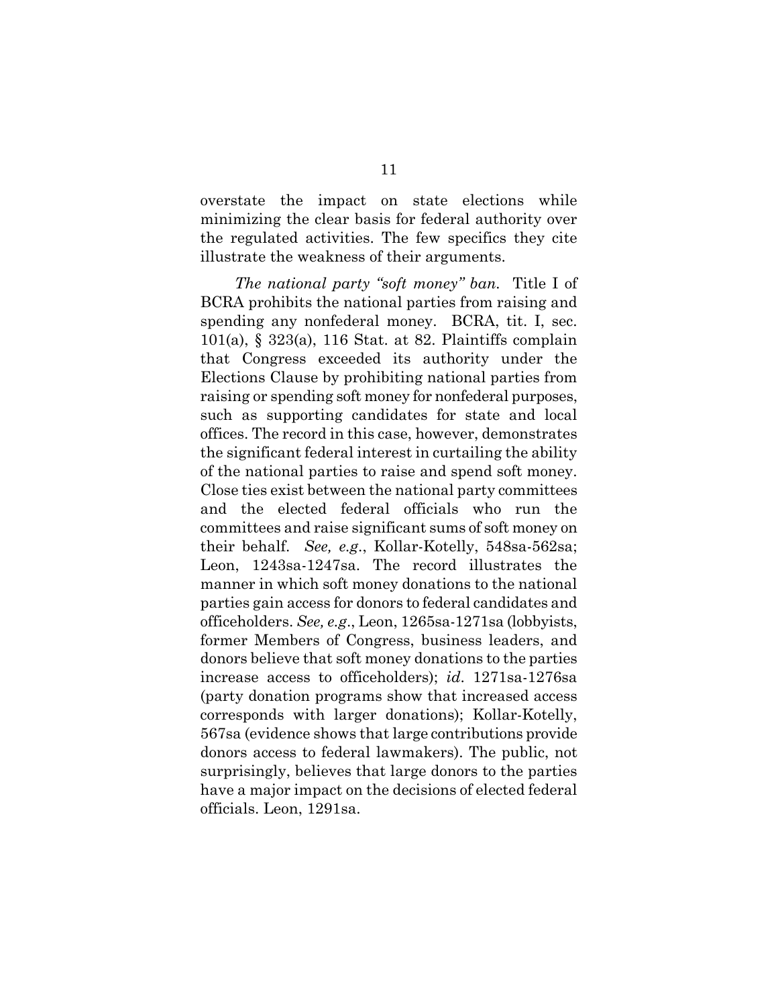overstate the impact on state elections while minimizing the clear basis for federal authority over the regulated activities. The few specifics they cite illustrate the weakness of their arguments.

*The national party "soft money" ban.* Title I of BCRA prohibits the national parties from raising and spending any nonfederal money. BCRA, tit. I, sec. 101(a), § 323(a), 116 Stat. at 82. Plaintiffs complain that Congress exceeded its authority under the Elections Clause by prohibiting national parties from raising or spending soft money for nonfederal purposes, such as supporting candidates for state and local offices. The record in this case, however, demonstrates the significant federal interest in curtailing the ability of the national parties to raise and spend soft money. Close ties exist between the national party committees and the elected federal officials who run the committees and raise significant sums of soft money on their behalf. *See, e.g*., Kollar-Kotelly, 548sa-562sa; Leon, 1243sa-1247sa. The record illustrates the manner in which soft money donations to the national parties gain access for donors to federal candidates and officeholders. *See, e.g*., Leon, 1265sa-1271sa (lobbyists, former Members of Congress, business leaders, and donors believe that soft money donations to the parties increase access to officeholders); *id*. 1271sa-1276sa (party donation programs show that increased access corresponds with larger donations); Kollar-Kotelly, 567sa (evidence shows that large contributions provide donors access to federal lawmakers). The public, not surprisingly, believes that large donors to the parties have a major impact on the decisions of elected federal officials. Leon, 1291sa.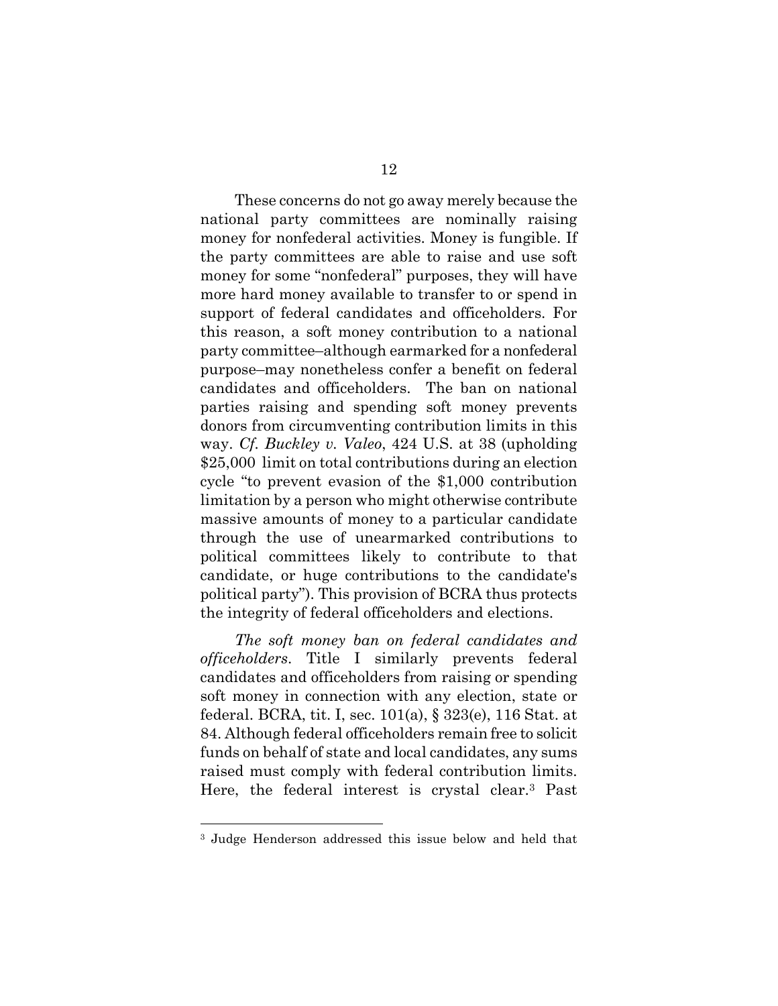<span id="page-18-0"></span>These concerns do not go away merely because the national party committees are nominally raising money for nonfederal activities. Money is fungible. If the party committees are able to raise and use soft money for some "nonfederal" purposes, they will have more hard money available to transfer to or spend in support of federal candidates and officeholders. For this reason, a soft money contribution to a national party committee–although earmarked for a nonfederal purpose–may nonetheless confer a benefit on federal candidates and officeholders. The ban on national parties raising and spending soft money prevents donors from circumventing contribution limits in this way. *Cf. Buckley v. Valeo*, 424 U.S. at 38 (upholding \$25,000 limit on total contributions during an election cycle "to prevent evasion of the \$1,000 contribution limitation by a person who might otherwise contribute massive amounts of money to a particular candidate through the use of unearmarked contributions to political committees likely to contribute to that candidate, or huge contributions to the candidate's political party"). This provision of BCRA thus protects the integrity of federal officeholders and elections.

*The soft money ban on federal candidates and officeholders*. Title I similarly prevents federal candidates and officeholders from raising or spending soft money in connection with any election, state or federal. BCRA, tit. I, sec. 101(a), § 323(e), 116 Stat. at 84. Although federal officeholders remain free to solicit funds on behalf of state and local candidates, any sums raised must comply with federal contribution limits. Here, the federal interest is crystal clear.[3](#page-18-0) Past

<sup>3</sup> Judge Henderson addressed this issue below and held that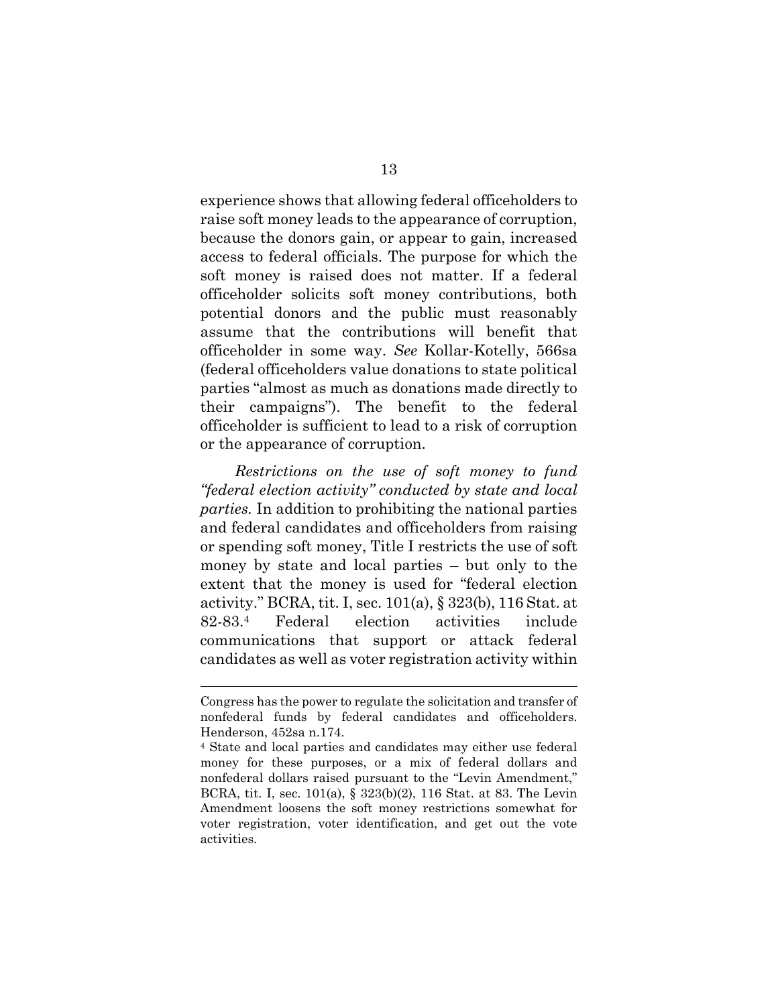experience shows that allowing federal officeholders to raise soft money leads to the appearance of corruption, because the donors gain, or appear to gain, increased access to federal officials. The purpose for which the soft money is raised does not matter. If a federal officeholder solicits soft money contributions, both potential donors and the public must reasonably assume that the contributions will benefit that officeholder in some way. *See* Kollar-Kotelly, 566sa (federal officeholders value donations to state political parties "almost as much as donations made directly to their campaigns"). The benefit to the federal officeholder is sufficient to lead to a risk of corruption or the appearance of corruption.

*Restrictions on the use of soft money to fund "federal election activity" conducted by state and local parties.* In addition to prohibiting the national parties and federal candidates and officeholders from raising or spending soft money, Title I restricts the use of soft money by state and local parties – but only to the extent that the money is used for "federal election activity." BCRA, tit. I, sec. 101(a), § 323(b), 116 Stat. at 82-83[.4](#page-19-0) Federal election activities include communications that support or attack federal candidates as well as voter registration activity within

Congress has the power to regulate the solicitation and transfer of nonfederal funds by federal candidates and officeholders. Henderson, 452sa n.174.<br><sup>4</sup> State and local parties and candidates may either use federal

<span id="page-19-0"></span>money for these purposes, or a mix of federal dollars and nonfederal dollars raised pursuant to the "Levin Amendment," BCRA, tit. I, sec. 101(a), § 323(b)(2), 116 Stat. at 83. The Levin Amendment loosens the soft money restrictions somewhat for voter registration, voter identification, and get out the vote activities.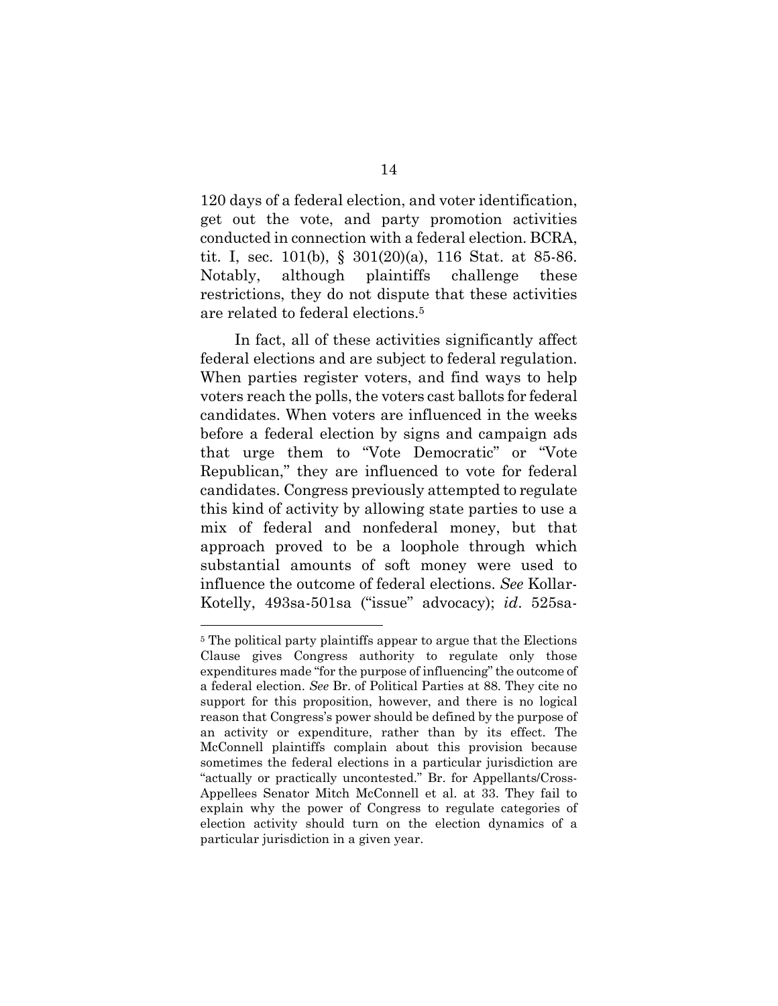120 days of a federal election, and voter identification, get out the vote, and party promotion activities conducted in connection with a federal election. BCRA, tit. I, sec. 101(b), § 301(20)(a), 116 Stat. at 85-86. Notably, although plaintiffs challenge these restrictions, they do not dispute that these activities are related to federal elections.[5](#page-20-0) 

In fact, all of these activities significantly affect federal elections and are subject to federal regulation. When parties register voters, and find ways to help voters reach the polls, the voters cast ballots for federal candidates. When voters are influenced in the weeks before a federal election by signs and campaign ads that urge them to "Vote Democratic" or "Vote Republican," they are influenced to vote for federal candidates. Congress previously attempted to regulate this kind of activity by allowing state parties to use a mix of federal and nonfederal money, but that approach proved to be a loophole through which substantial amounts of soft money were used to influence the outcome of federal elections. *See* Kollar-Kotelly, 493sa-501sa ("issue" advocacy); *id*. 525sa-

<span id="page-20-0"></span><sup>&</sup>lt;sup>5</sup> The political party plaintiffs appear to argue that the Elections Clause gives Congress authority to regulate only those expenditures made "for the purpose of influencing" the outcome of a federal election. *See* Br. of Political Parties at 88. They cite no support for this proposition, however, and there is no logical reason that Congress's power should be defined by the purpose of an activity or expenditure, rather than by its effect. The McConnell plaintiffs complain about this provision because sometimes the federal elections in a particular jurisdiction are "actually or practically uncontested." Br. for Appellants/Cross-Appellees Senator Mitch McConnell et al. at 33. They fail to explain why the power of Congress to regulate categories of election activity should turn on the election dynamics of a particular jurisdiction in a given year.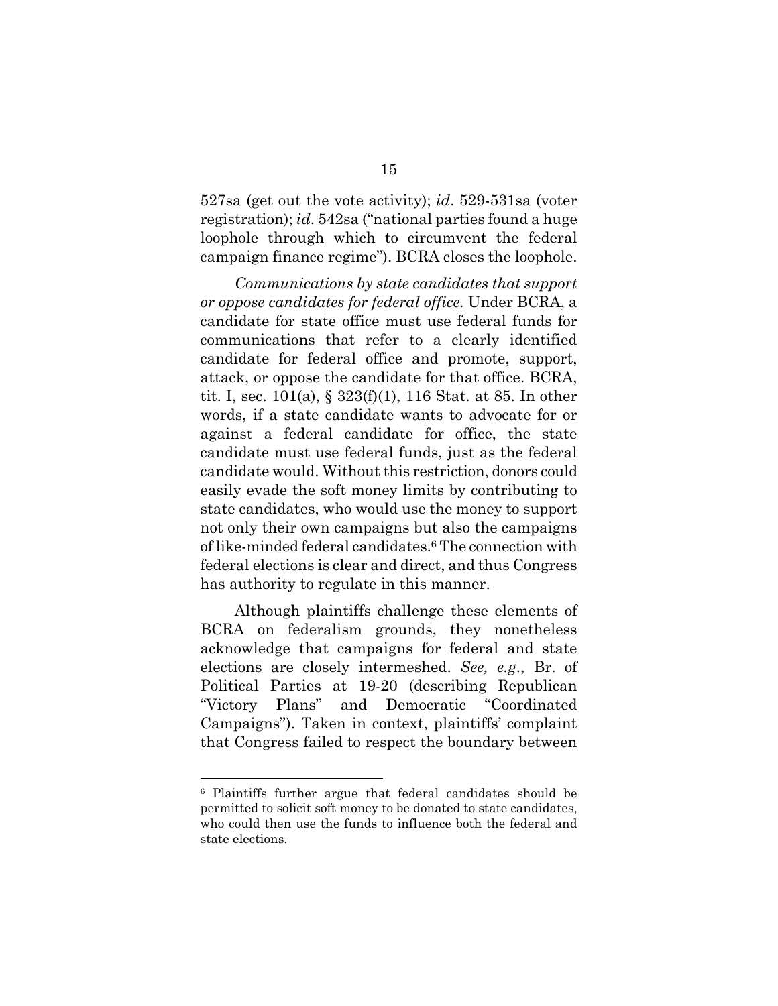527sa (get out the vote activity); *id*. 529-531sa (voter registration); *id*. 542sa ("national parties found a huge loophole through which to circumvent the federal campaign finance regime"). BCRA closes the loophole.

*Communications by state candidates that support or oppose candidates for federal office.* Under BCRA, a candidate for state office must use federal funds for communications that refer to a clearly identified candidate for federal office and promote, support, attack, or oppose the candidate for that office. BCRA, tit. I, sec. 101(a), § 323(f)(1), 116 Stat. at 85. In other words, if a state candidate wants to advocate for or against a federal candidate for office, the state candidate must use federal funds, just as the federal candidate would. Without this restriction, donors could easily evade the soft money limits by contributing to state candidates, who would use the money to support not only their own campaigns but also the campaigns of like-minded federal candidates.[6 T](#page-21-0)he connection with federal elections is clear and direct, and thus Congress has authority to regulate in this manner.

Although plaintiffs challenge these elements of BCRA on federalism grounds, they nonetheless acknowledge that campaigns for federal and state elections are closely intermeshed. *See, e.g*., Br. of Political Parties at 19-20 (describing Republican "Victory Plans" and Democratic "Coordinated Campaigns"). Taken in context, plaintiffs' complaint that Congress failed to respect the boundary between

<span id="page-21-0"></span><sup>6</sup> Plaintiffs further argue that federal candidates should be permitted to solicit soft money to be donated to state candidates, who could then use the funds to influence both the federal and state elections.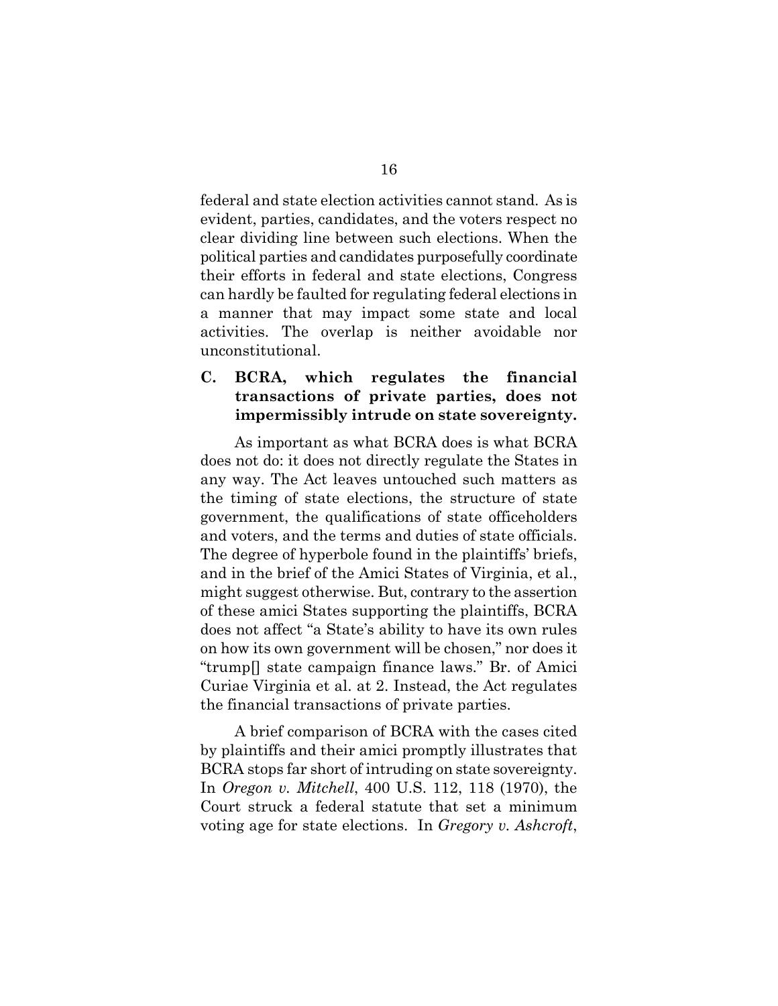federal and state election activities cannot stand. As is evident, parties, candidates, and the voters respect no clear dividing line between such elections. When the political parties and candidates purposefully coordinate their efforts in federal and state elections, Congress can hardly be faulted for regulating federal elections in a manner that may impact some state and local activities. The overlap is neither avoidable nor unconstitutional.

**C. BCRA, which regulates the financial transactions of private parties, does not impermissibly intrude on state sovereignty.** 

As important as what BCRA does is what BCRA does not do: it does not directly regulate the States in any way. The Act leaves untouched such matters as the timing of state elections, the structure of state government, the qualifications of state officeholders and voters, and the terms and duties of state officials. The degree of hyperbole found in the plaintiffs' briefs, and in the brief of the Amici States of Virginia, et al., might suggest otherwise. But, contrary to the assertion of these amici States supporting the plaintiffs, BCRA does not affect "a State's ability to have its own rules on how its own government will be chosen," nor does it "trump[] state campaign finance laws." Br. of Amici Curiae Virginia et al. at 2. Instead, the Act regulates the financial transactions of private parties.

A brief comparison of BCRA with the cases cited by plaintiffs and their amici promptly illustrates that BCRA stops far short of intruding on state sovereignty. In *Oregon v. Mitchell*, 400 U.S. 112, 118 (1970), the Court struck a federal statute that set a minimum voting age for state elections. In *Gregory v. Ashcroft*,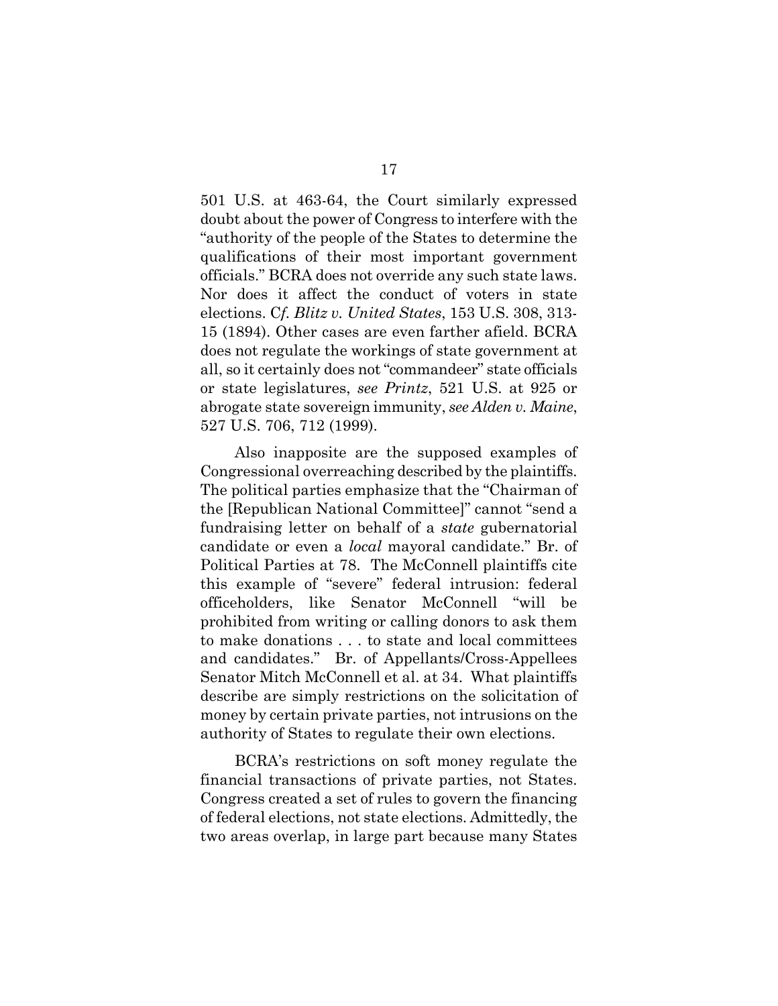501 U.S. at 463-64, the Court similarly expressed doubt about the power of Congress to interfere with the "authority of the people of the States to determine the qualifications of their most important government officials." BCRA does not override any such state laws. Nor does it affect the conduct of voters in state elections. C*f. Blitz v. United States*, 153 U.S. 308, 313- 15 (1894). Other cases are even farther afield. BCRA does not regulate the workings of state government at all, so it certainly does not "commandeer" state officials or state legislatures, *see Printz*, 521 U.S. at 925 or abrogate state sovereign immunity, *see Alden v. Maine*, 527 U.S. 706, 712 (1999).

Also inapposite are the supposed examples of Congressional overreaching described by the plaintiffs. The political parties emphasize that the "Chairman of the [Republican National Committee]" cannot "send a fundraising letter on behalf of a *state* gubernatorial candidate or even a *local* mayoral candidate." Br. of Political Parties at 78. The McConnell plaintiffs cite this example of "severe" federal intrusion: federal officeholders, like Senator McConnell "will be prohibited from writing or calling donors to ask them to make donations . . . to state and local committees and candidates." Br. of Appellants/Cross-Appellees Senator Mitch McConnell et al. at 34. What plaintiffs describe are simply restrictions on the solicitation of money by certain private parties, not intrusions on the authority of States to regulate their own elections.

BCRA's restrictions on soft money regulate the financial transactions of private parties, not States. Congress created a set of rules to govern the financing of federal elections, not state elections. Admittedly, the two areas overlap, in large part because many States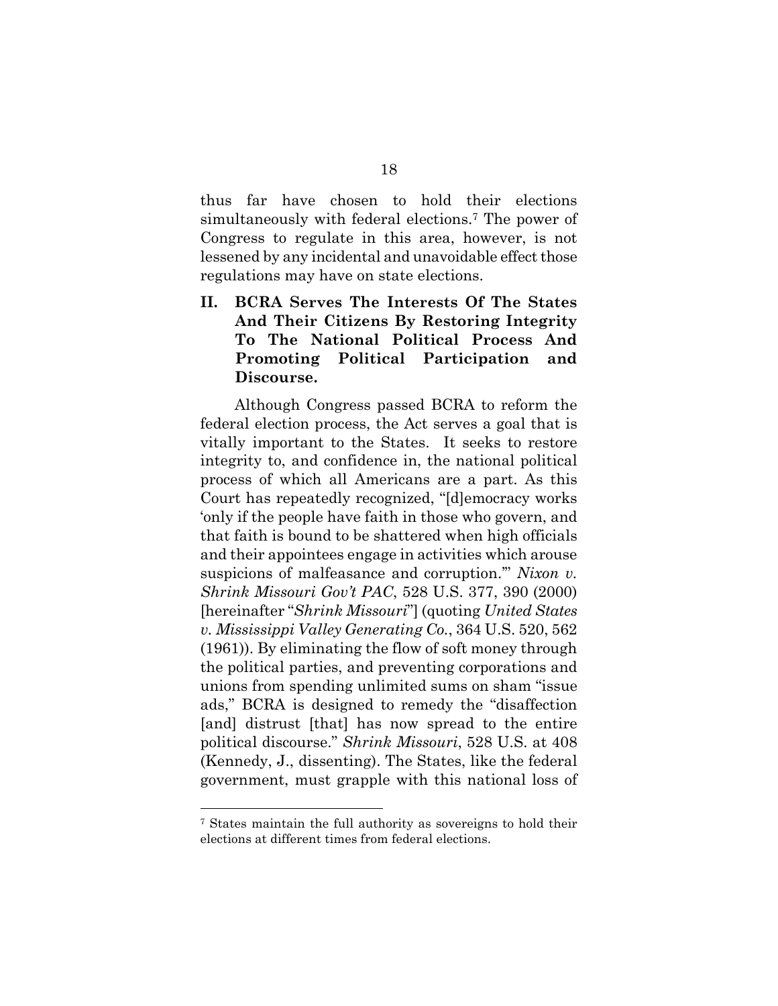thus far have chosen to hold their elections simultaneously with federal elections[.7](#page-24-0) The power of Congress to regulate in this area, however, is not lessened by any incidental and unavoidable effect those regulations may have on state elections.

**II. BCRA Serves The Interests Of The States And Their Citizens By Restoring Integrity To The National Political Process And Promoting Political Participation and Discourse.** 

Although Congress passed BCRA to reform the federal election process, the Act serves a goal that is vitally important to the States. It seeks to restore integrity to, and confidence in, the national political process of which all Americans are a part. As this Court has repeatedly recognized, "[d]emocracy works 'only if the people have faith in those who govern, and that faith is bound to be shattered when high officials and their appointees engage in activities which arouse suspicions of malfeasance and corruption.'" *Nixon v. Shrink Missouri Gov't PAC*, 528 U.S. 377, 390 (2000) [hereinafter "*Shrink Missouri*"] (quoting *United States v. Mississippi Valley Generating Co.*, 364 U.S. 520, 562 (1961)). By eliminating the flow of soft money through the political parties, and preventing corporations and unions from spending unlimited sums on sham "issue ads," BCRA is designed to remedy the "disaffection [and] distrust [that] has now spread to the entire political discourse." *Shrink Missouri*, 528 U.S. at 408 (Kennedy, J., dissenting). The States, like the federal government, must grapple with this national loss of

<span id="page-24-0"></span><sup>7</sup> States maintain the full authority as sovereigns to hold their elections at different times from federal elections.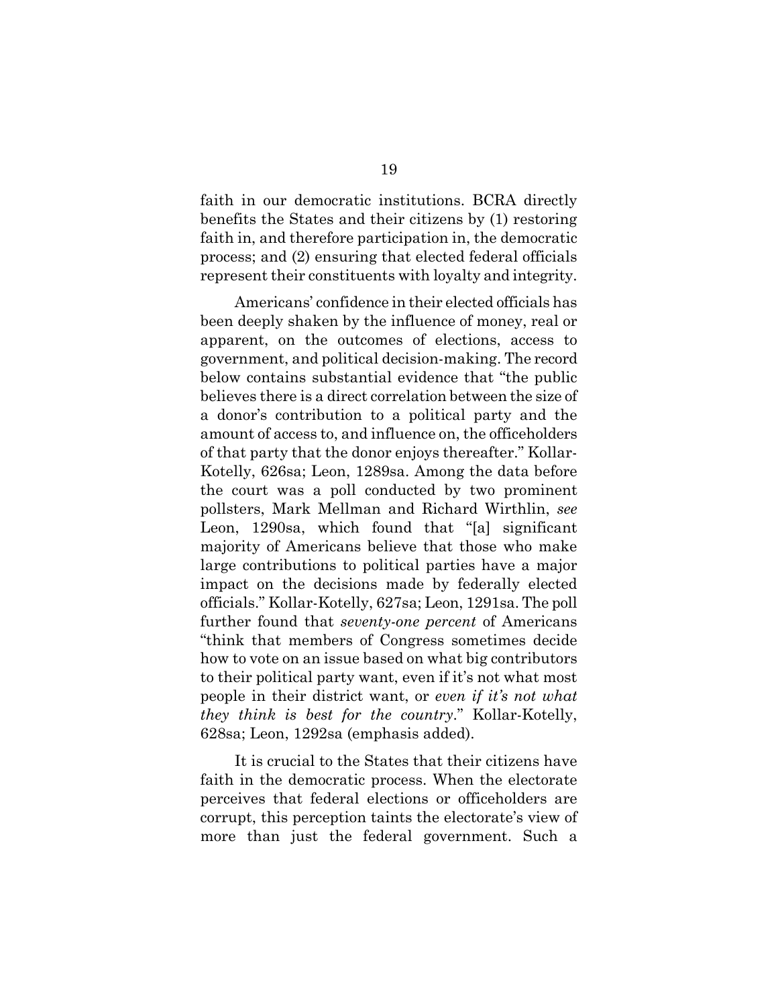faith in our democratic institutions. BCRA directly benefits the States and their citizens by (1) restoring faith in, and therefore participation in, the democratic process; and (2) ensuring that elected federal officials represent their constituents with loyalty and integrity.

Americans' confidence in their elected officials has been deeply shaken by the influence of money, real or apparent, on the outcomes of elections, access to government, and political decision-making. The record below contains substantial evidence that "the public believes there is a direct correlation between the size of a donor's contribution to a political party and the amount of access to, and influence on, the officeholders of that party that the donor enjoys thereafter." Kollar-Kotelly, 626sa; Leon, 1289sa. Among the data before the court was a poll conducted by two prominent pollsters, Mark Mellman and Richard Wirthlin, *see*  Leon, 1290sa, which found that "[a] significant majority of Americans believe that those who make large contributions to political parties have a major impact on the decisions made by federally elected officials." Kollar-Kotelly, 627sa; Leon, 1291sa. The poll further found that *seventy-one percent* of Americans "think that members of Congress sometimes decide how to vote on an issue based on what big contributors to their political party want, even if it's not what most people in their district want, or *even if it's not what they think is best for the country*." Kollar-Kotelly, 628sa; Leon, 1292sa (emphasis added).

It is crucial to the States that their citizens have faith in the democratic process. When the electorate perceives that federal elections or officeholders are corrupt, this perception taints the electorate's view of more than just the federal government. Such a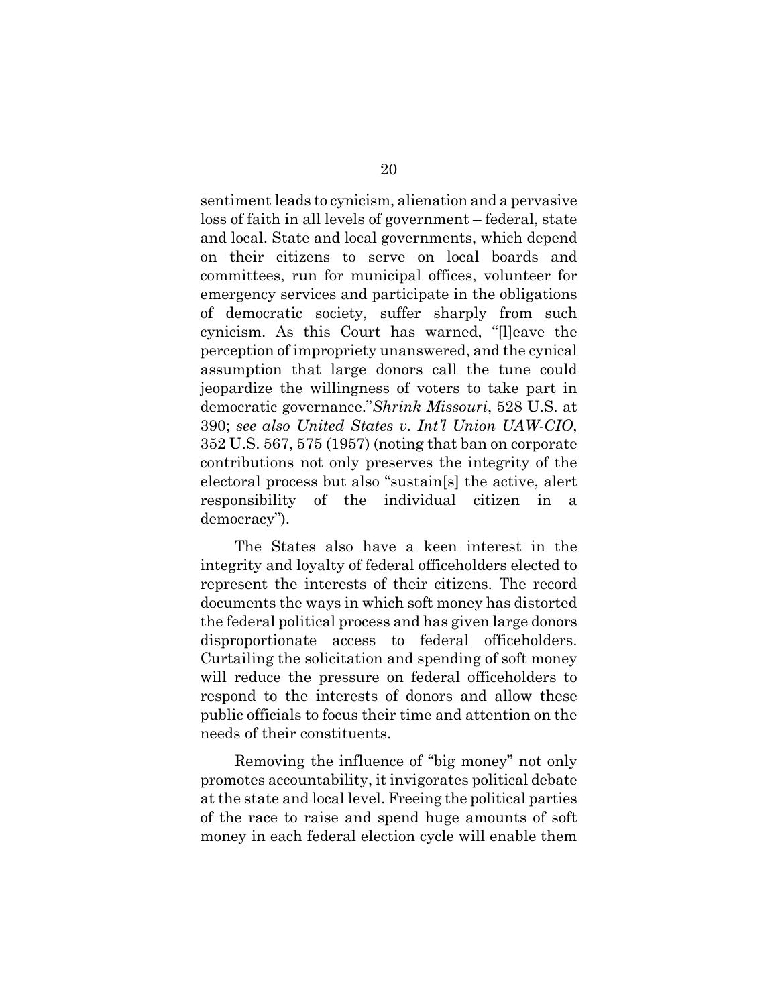sentiment leads to cynicism, alienation and a pervasive loss of faith in all levels of government – federal, state and local. State and local governments, which depend on their citizens to serve on local boards and committees, run for municipal offices, volunteer for emergency services and participate in the obligations of democratic society, suffer sharply from such cynicism. As this Court has warned, "[l]eave the perception of impropriety unanswered, and the cynical assumption that large donors call the tune could jeopardize the willingness of voters to take part in democratic governance."*Shrink Missouri*, 528 U.S. at 390; *see also United States v. Int'l Union UAW-CIO*, 352 U.S. 567, 575 (1957) (noting that ban on corporate contributions not only preserves the integrity of the electoral process but also "sustain[s] the active, alert responsibility of the individual citizen in a democracy").

The States also have a keen interest in the integrity and loyalty of federal officeholders elected to represent the interests of their citizens. The record documents the ways in which soft money has distorted the federal political process and has given large donors disproportionate access to federal officeholders. Curtailing the solicitation and spending of soft money will reduce the pressure on federal officeholders to respond to the interests of donors and allow these public officials to focus their time and attention on the needs of their constituents.

Removing the influence of "big money" not only promotes accountability, it invigorates political debate at the state and local level. Freeing the political parties of the race to raise and spend huge amounts of soft money in each federal election cycle will enable them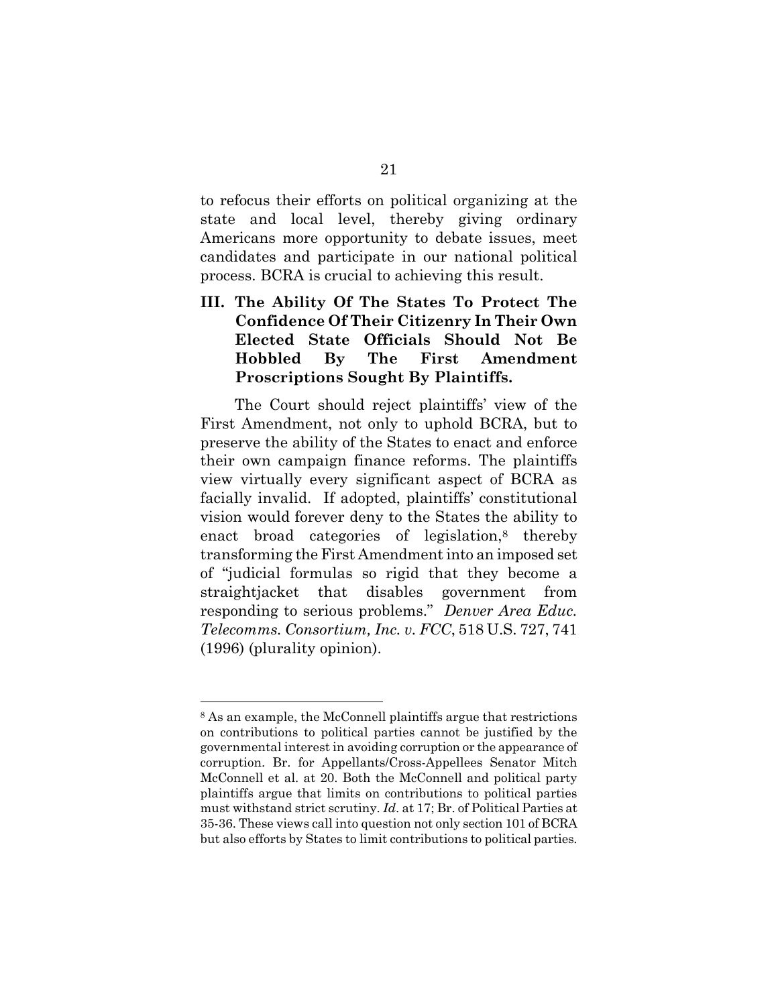to refocus their efforts on political organizing at the state and local level, thereby giving ordinary Americans more opportunity to debate issues, meet candidates and participate in our national political process. BCRA is crucial to achieving this result.

**III. The Ability Of The States To Protect The Confidence Of Their Citizenry In Their Own Elected State Officials Should Not Be Hobbled By The First Amendment Proscriptions Sought By Plaintiffs.** 

The Court should reject plaintiffs' view of the First Amendment, not only to uphold BCRA, but to preserve the ability of the States to enact and enforce their own campaign finance reforms. The plaintiffs view virtually every significant aspect of BCRA as facially invalid. If adopted, plaintiffs' constitutional vision would forever deny to the States the ability to enact broad categories of legislation, $\delta$  thereby transforming the First Amendment into an imposed set of "judicial formulas so rigid that they become a straightjacket that disables government from responding to serious problems." *Denver Area Educ. Telecomms. Consortium, Inc. v. FCC*, 518 U.S. 727, 741 (1996) (plurality opinion).

<span id="page-27-0"></span><sup>8</sup> As an example, the McConnell plaintiffs argue that restrictions on contributions to political parties cannot be justified by the governmental interest in avoiding corruption or the appearance of corruption. Br. for Appellants/Cross-Appellees Senator Mitch McConnell et al. at 20. Both the McConnell and political party plaintiffs argue that limits on contributions to political parties must withstand strict scrutiny. *Id*. at 17; Br. of Political Parties at 35-36. These views call into question not only section 101 of BCRA but also efforts by States to limit contributions to political parties.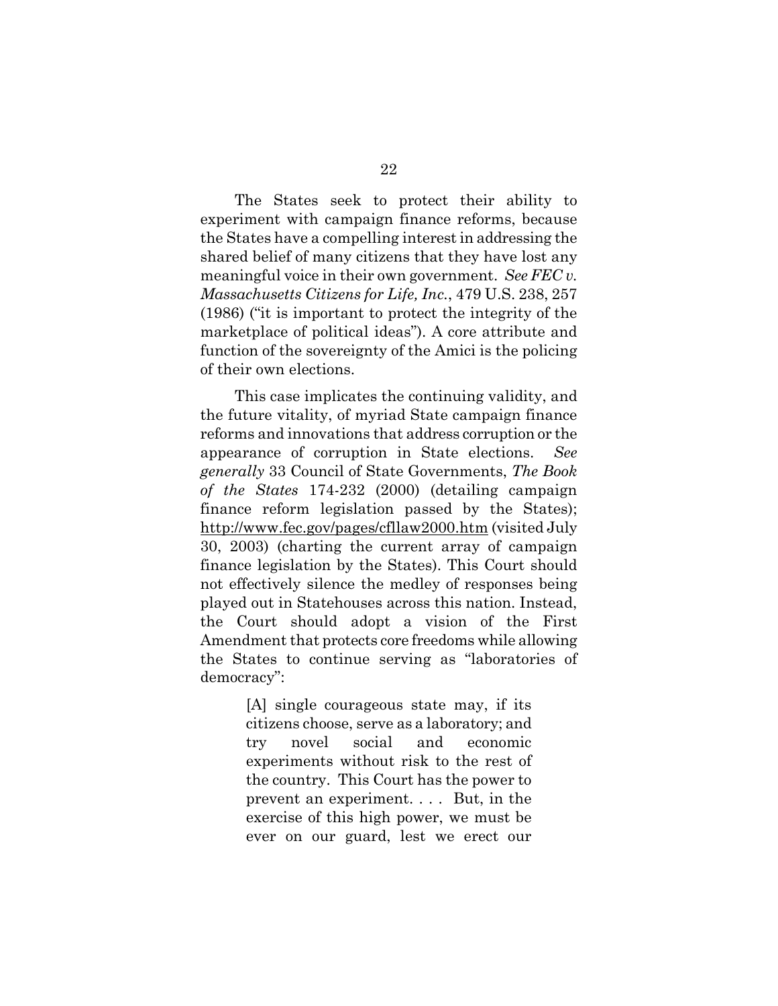The States seek to protect their ability to experiment with campaign finance reforms, because the States have a compelling interest in addressing the shared belief of many citizens that they have lost any meaningful voice in their own government. *See FEC v. Massachusetts Citizens for Life, Inc.*, 479 U.S. 238, 257 (1986) ("it is important to protect the integrity of the marketplace of political ideas"). A core attribute and function of the sovereignty of the Amici is the policing of their own elections.

This case implicates the continuing validity, and the future vitality, of myriad State campaign finance reforms and innovations that address corruption or the appearance of corruption in State elections. *See generally* 33 Council of State Governments, *The Book of the States* 174-232 (2000) (detailing campaign finance reform legislation passed by the States); http://www.fec.gov/pages/cfllaw2000.htm (visited July 30, 2003) (charting the current array of campaign finance legislation by the States). This Court should not effectively silence the medley of responses being played out in Statehouses across this nation. Instead, the Court should adopt a vision of the First Amendment that protects core freedoms while allowing the States to continue serving as "laboratories of democracy":

> [A] single courageous state may, if its citizens choose, serve as a laboratory; and try novel social and economic experiments without risk to the rest of the country. This Court has the power to prevent an experiment. . . . But, in the exercise of this high power, we must be ever on our guard, lest we erect our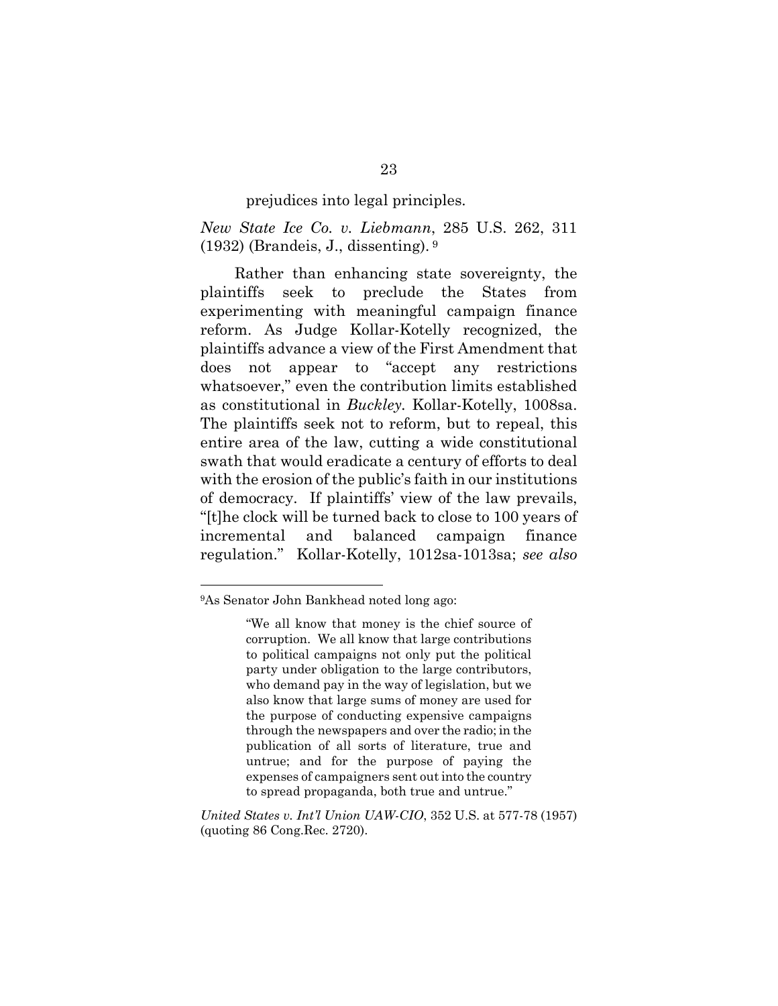prejudices into legal principles.

*New State Ice Co. v. Liebmann*, 285 U.S. 262, 311 (1932) (Brandeis, J., dissenting). [9](#page-29-0) 

Rather than enhancing state sovereignty, the plaintiffs seek to preclude the States from experimenting with meaningful campaign finance reform. As Judge Kollar-Kotelly recognized, the plaintiffs advance a view of the First Amendment that does not appear to "accept any restrictions whatsoever," even the contribution limits established as constitutional in *Buckley.* Kollar-Kotelly, 1008sa. The plaintiffs seek not to reform, but to repeal, this entire area of the law, cutting a wide constitutional swath that would eradicate a century of efforts to deal with the erosion of the public's faith in our institutions of democracy. If plaintiffs' view of the law prevails, "[t]he clock will be turned back to close to 100 years of incremental and balanced campaign finance regulation." Kollar-Kotelly, 1012sa-1013sa; *see also* 

<span id="page-29-0"></span><sup>9</sup>As Senator John Bankhead noted long ago:

<sup>&</sup>quot;We all know that money is the chief source of corruption. We all know that large contributions to political campaigns not only put the political party under obligation to the large contributors, who demand pay in the way of legislation, but we also know that large sums of money are used for the purpose of conducting expensive campaigns through the newspapers and over the radio; in the publication of all sorts of literature, true and untrue; and for the purpose of paying the expenses of campaigners sent out into the country to spread propaganda, both true and untrue."

*United States v. Int'l Union UAW-CIO*, 352 U.S. at 577-78 (1957) (quoting 86 Cong.Rec. 2720).